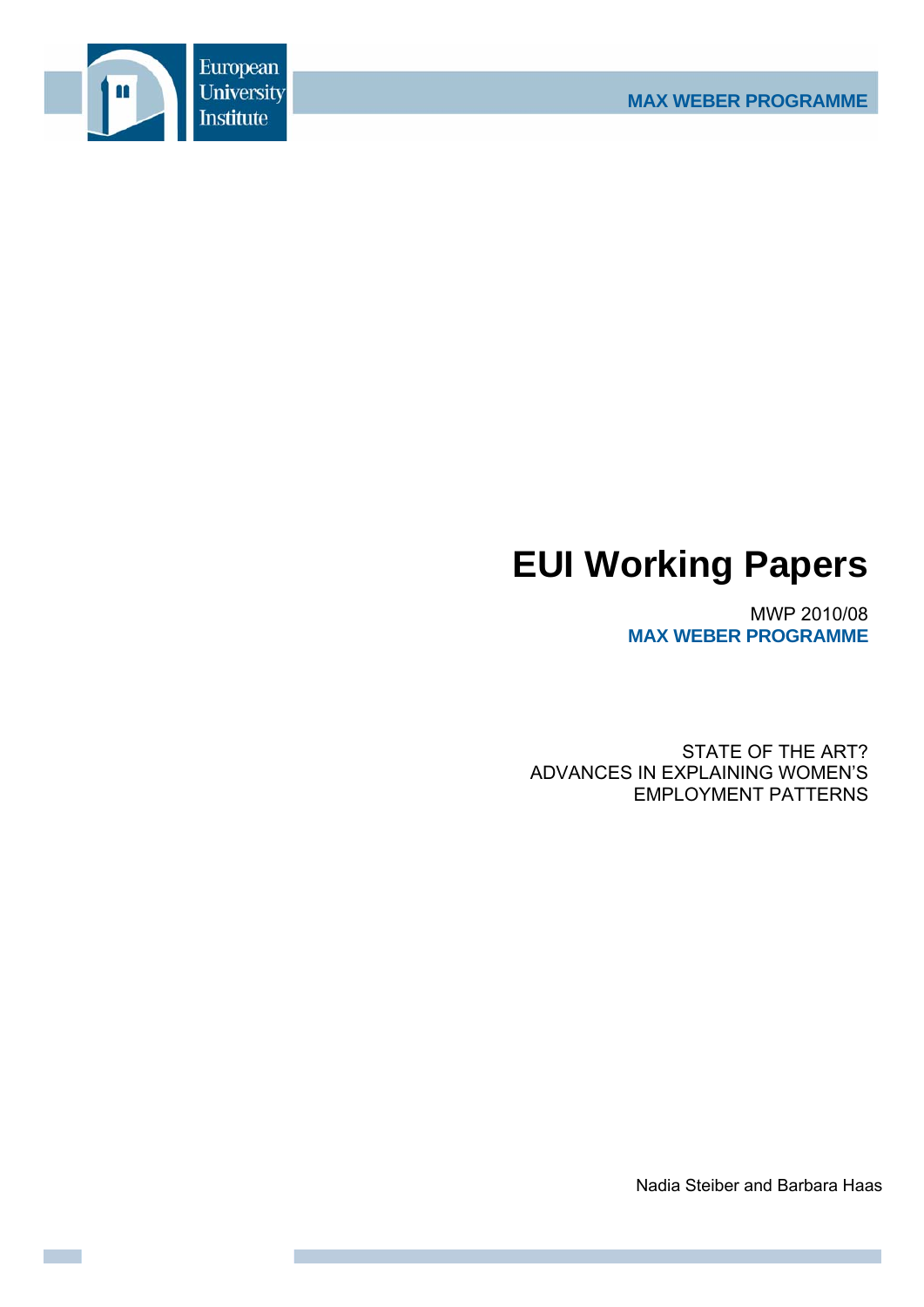

# **EUI Working Papers**

MWP 2010/08 **MAX WEBER PROGRAMME**

STATE OF THE ART? ADVANCES IN EXPLAINING WOMEN'S EMPLOYMENT PATTERNS

Nadia Steiber and Barbara Haas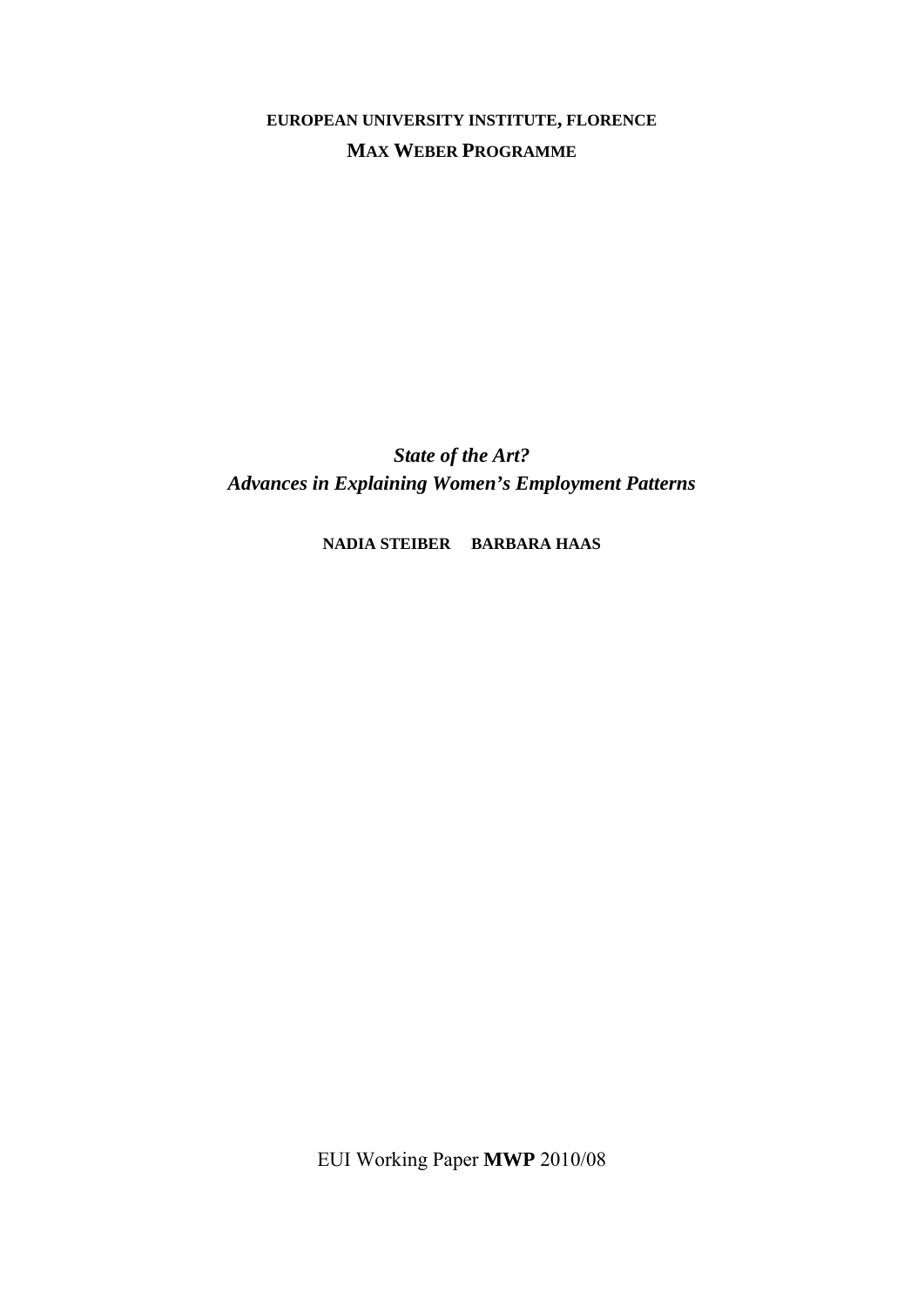**EUROPEAN UNIVERSITY INSTITUTE, FLORENCE MAX WEBER PROGRAMME**

*State of the Art? Advances in Explaining Women's Employment Patterns* 

**NADIA STEIBER BARBARA HAAS**

EUI Working Paper **MWP** 2010/08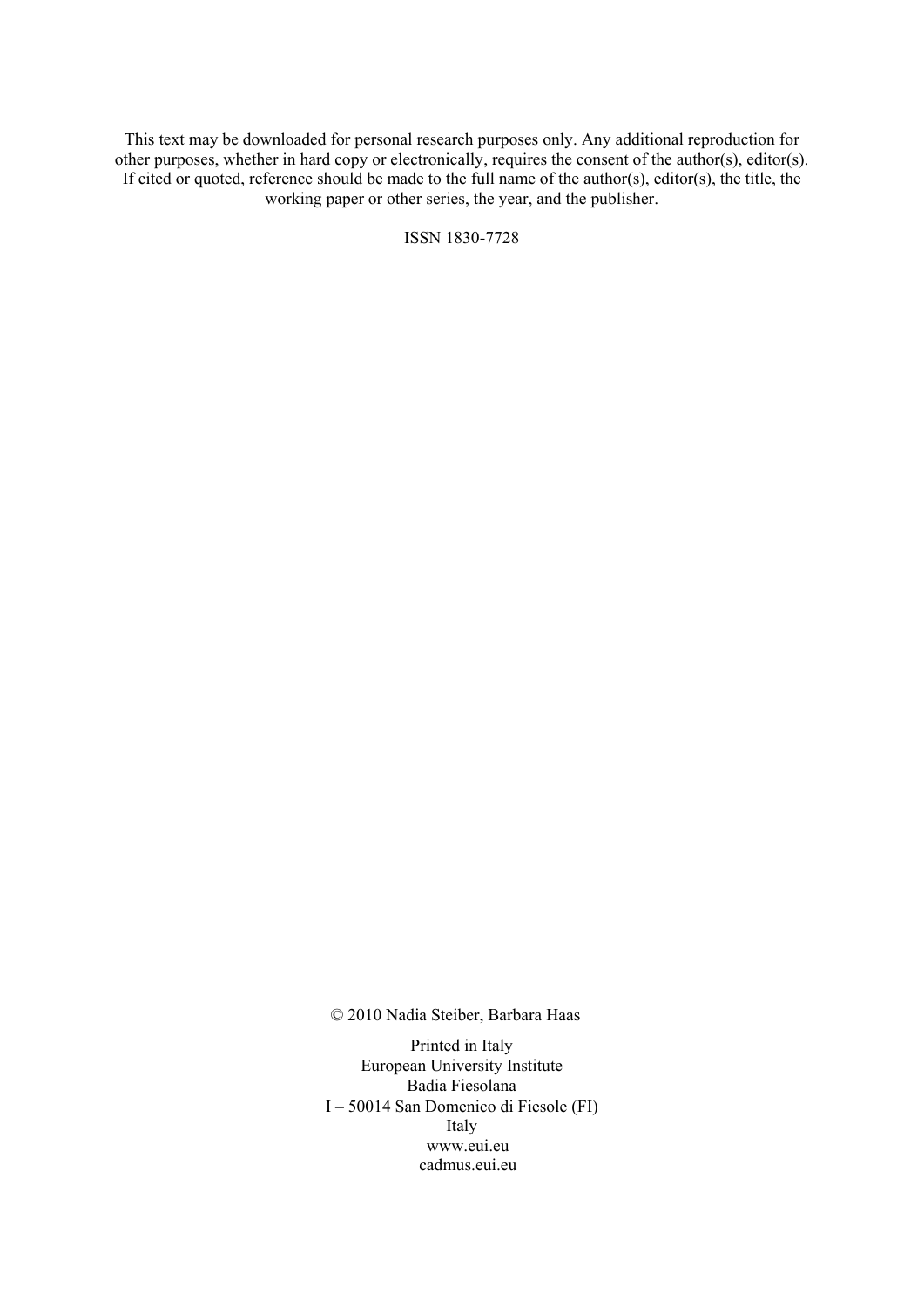This text may be downloaded for personal research purposes only. Any additional reproduction for other purposes, whether in hard copy or electronically, requires the consent of the author(s), editor(s). If cited or quoted, reference should be made to the full name of the author(s), editor(s), the title, the working paper or other series, the year, and the publisher.

ISSN 1830-7728

© 2010 Nadia Steiber, Barbara Haas

Printed in Italy European University Institute Badia Fiesolana I – 50014 San Domenico di Fiesole (FI) Italy www.eui.eu cadmus.eui.eu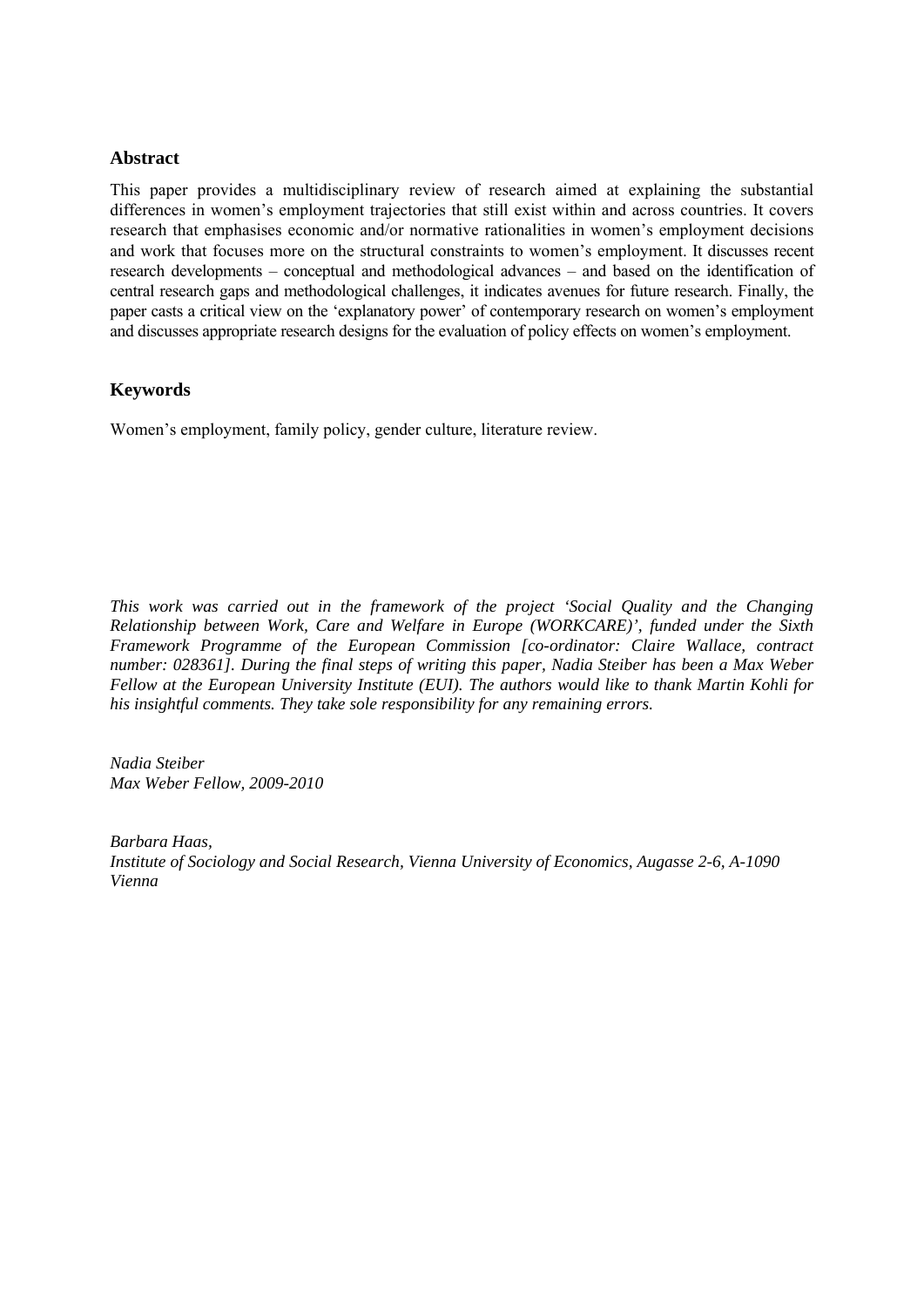## **Abstract**

This paper provides a multidisciplinary review of research aimed at explaining the substantial differences in women's employment trajectories that still exist within and across countries. It covers research that emphasises economic and/or normative rationalities in women's employment decisions and work that focuses more on the structural constraints to women's employment. It discusses recent research developments – conceptual and methodological advances – and based on the identification of central research gaps and methodological challenges, it indicates avenues for future research. Finally, the paper casts a critical view on the 'explanatory power' of contemporary research on women's employment and discusses appropriate research designs for the evaluation of policy effects on women's employment.

# **Keywords**

Women's employment, family policy, gender culture, literature review.

*This work was carried out in the framework of the project 'Social Quality and the Changing Relationship between Work, Care and Welfare in Europe (WORKCARE)', funded under the Sixth Framework Programme of the European Commission [co-ordinator: Claire Wallace, contract number: 028361]. During the final steps of writing this paper, Nadia Steiber has been a Max Weber Fellow at the European University Institute (EUI). The authors would like to thank Martin Kohli for his insightful comments. They take sole responsibility for any remaining errors.* 

*Nadia Steiber Max Weber Fellow, 2009-2010* 

*Barbara Haas,* 

*Institute of Sociology and Social Research, Vienna University of Economics, Augasse 2-6, A-1090 Vienna*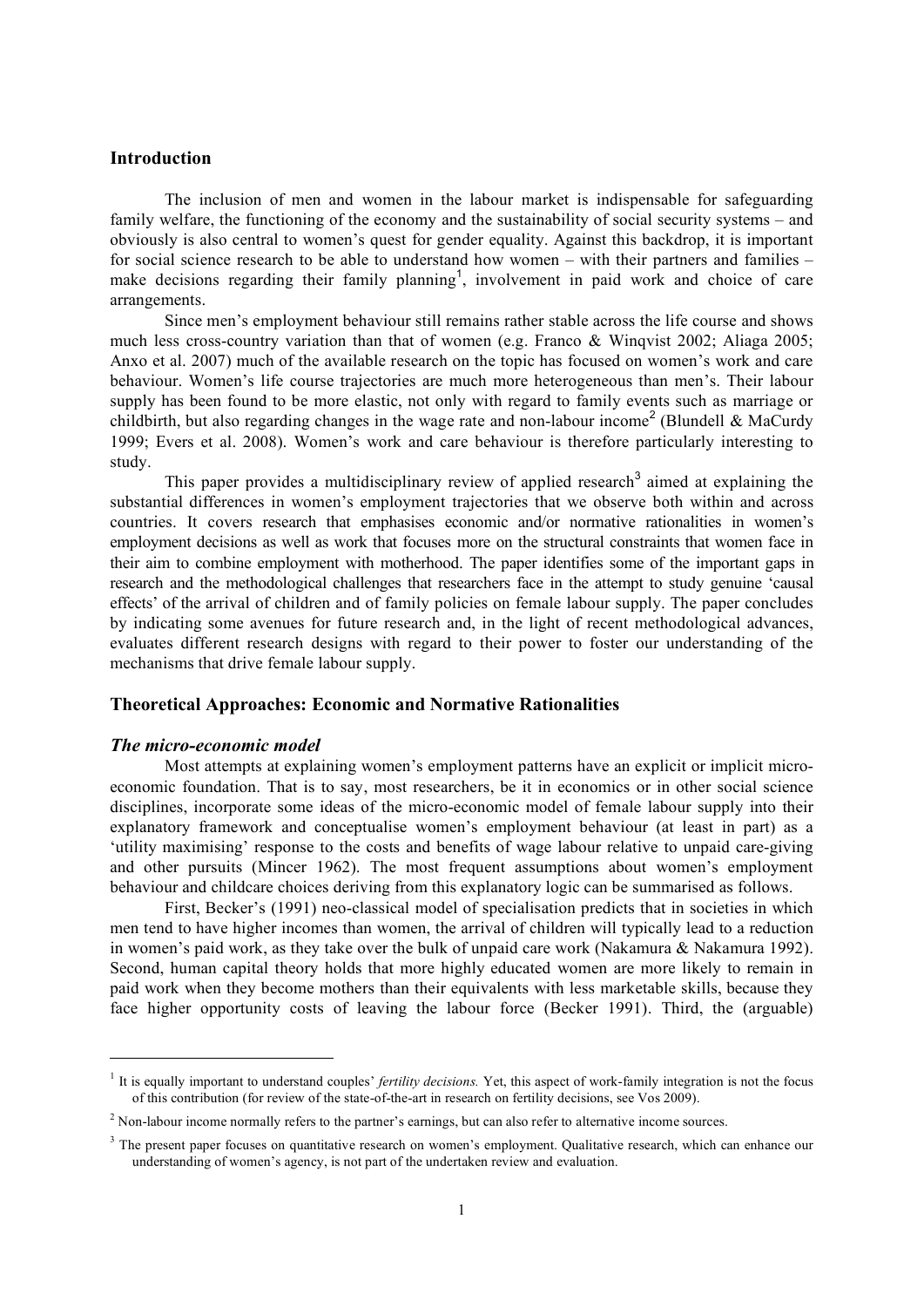## **Introduction**

The inclusion of men and women in the labour market is indispensable for safeguarding family welfare, the functioning of the economy and the sustainability of social security systems – and obviously is also central to women's quest for gender equality. Against this backdrop, it is important for social science research to be able to understand how women – with their partners and families – make decisions regarding their family planning<sup>1</sup>, involvement in paid work and choice of care arrangements.

Since men's employment behaviour still remains rather stable across the life course and shows much less cross-country variation than that of women (e.g. Franco & Winqvist 2002; Aliaga 2005; Anxo et al. 2007) much of the available research on the topic has focused on women's work and care behaviour. Women's life course trajectories are much more heterogeneous than men's. Their labour supply has been found to be more elastic, not only with regard to family events such as marriage or childbirth, but also regarding changes in the wage rate and non-labour income<sup>2</sup> (Blundell & MaCurdy 1999; Evers et al. 2008). Women's work and care behaviour is therefore particularly interesting to study.

This paper provides a multidisciplinary review of applied research<sup>3</sup> aimed at explaining the substantial differences in women's employment trajectories that we observe both within and across countries. It covers research that emphasises economic and/or normative rationalities in women's employment decisions as well as work that focuses more on the structural constraints that women face in their aim to combine employment with motherhood. The paper identifies some of the important gaps in research and the methodological challenges that researchers face in the attempt to study genuine 'causal effects' of the arrival of children and of family policies on female labour supply. The paper concludes by indicating some avenues for future research and, in the light of recent methodological advances, evaluates different research designs with regard to their power to foster our understanding of the mechanisms that drive female labour supply.

## **Theoretical Approaches: Economic and Normative Rationalities**

#### *The micro-economic model*

<u>.</u>

Most attempts at explaining women's employment patterns have an explicit or implicit microeconomic foundation. That is to say, most researchers, be it in economics or in other social science disciplines, incorporate some ideas of the micro-economic model of female labour supply into their explanatory framework and conceptualise women's employment behaviour (at least in part) as a 'utility maximising' response to the costs and benefits of wage labour relative to unpaid care-giving and other pursuits (Mincer 1962). The most frequent assumptions about women's employment behaviour and childcare choices deriving from this explanatory logic can be summarised as follows.

First, Becker's (1991) neo-classical model of specialisation predicts that in societies in which men tend to have higher incomes than women, the arrival of children will typically lead to a reduction in women's paid work, as they take over the bulk of unpaid care work (Nakamura & Nakamura 1992). Second, human capital theory holds that more highly educated women are more likely to remain in paid work when they become mothers than their equivalents with less marketable skills, because they face higher opportunity costs of leaving the labour force (Becker 1991). Third, the (arguable)

<sup>1</sup> It is equally important to understand couples' *fertility decisions.* Yet, this aspect of work-family integration is not the focus of this contribution (for review of the state-of-the-art in research on fertility decisions, see Vos 2009).

 $2$  Non-labour income normally refers to the partner's earnings, but can also refer to alternative income sources.

<sup>&</sup>lt;sup>3</sup> The present paper focuses on quantitative research on women's employment. Qualitative research, which can enhance our understanding of women's agency, is not part of the undertaken review and evaluation.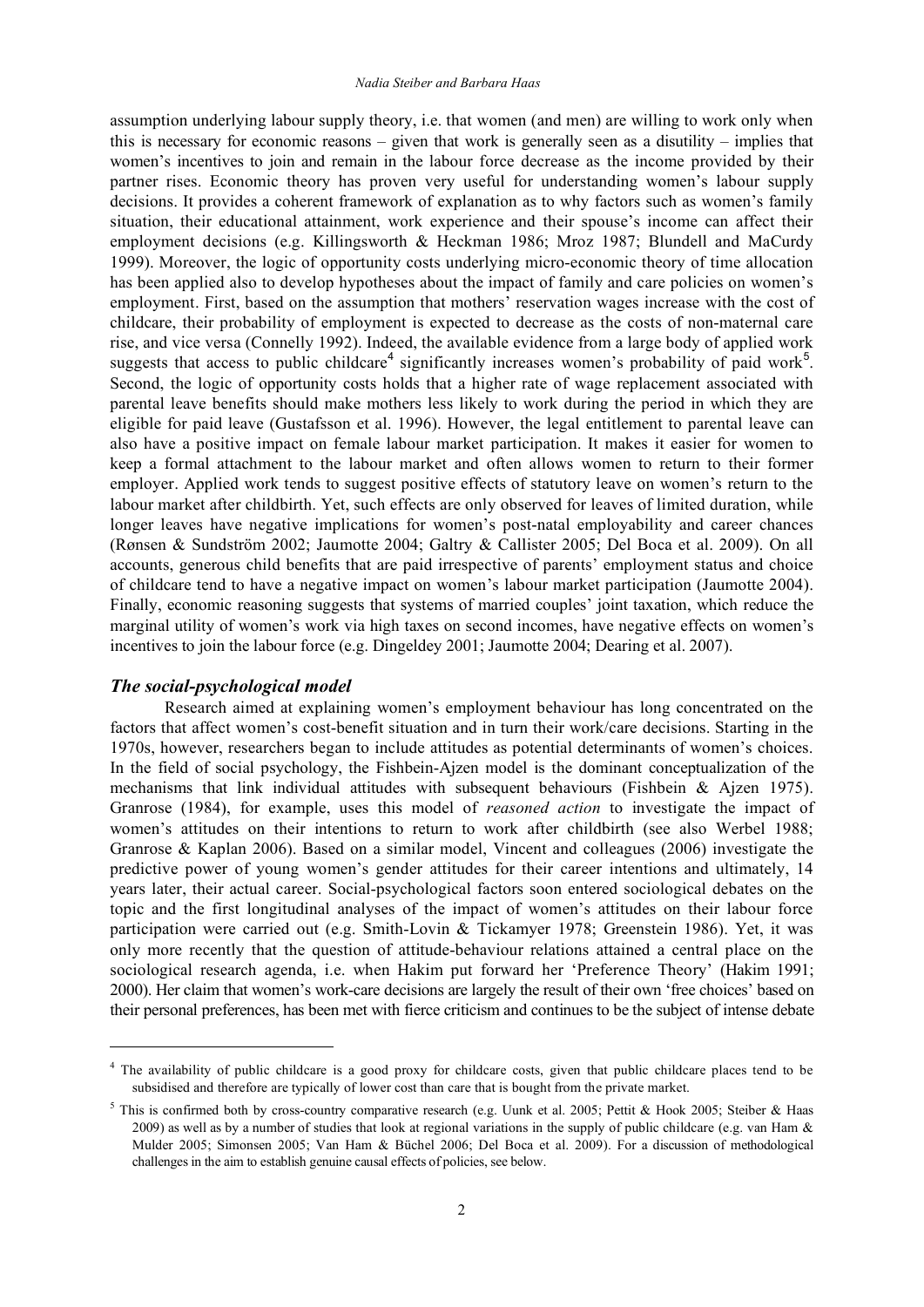assumption underlying labour supply theory, i.e. that women (and men) are willing to work only when this is necessary for economic reasons – given that work is generally seen as a disutility – implies that women's incentives to join and remain in the labour force decrease as the income provided by their partner rises. Economic theory has proven very useful for understanding women's labour supply decisions. It provides a coherent framework of explanation as to why factors such as women's family situation, their educational attainment, work experience and their spouse's income can affect their employment decisions (e.g. Killingsworth & Heckman 1986; Mroz 1987; Blundell and MaCurdy 1999). Moreover, the logic of opportunity costs underlying micro-economic theory of time allocation has been applied also to develop hypotheses about the impact of family and care policies on women's employment. First, based on the assumption that mothers' reservation wages increase with the cost of childcare, their probability of employment is expected to decrease as the costs of non-maternal care rise, and vice versa (Connelly 1992). Indeed, the available evidence from a large body of applied work suggests that access to public childcare<sup>4</sup> significantly increases women's probability of paid work<sup>5</sup>. Second, the logic of opportunity costs holds that a higher rate of wage replacement associated with parental leave benefits should make mothers less likely to work during the period in which they are eligible for paid leave (Gustafsson et al. 1996). However, the legal entitlement to parental leave can also have a positive impact on female labour market participation. It makes it easier for women to keep a formal attachment to the labour market and often allows women to return to their former employer. Applied work tends to suggest positive effects of statutory leave on women's return to the labour market after childbirth. Yet, such effects are only observed for leaves of limited duration, while longer leaves have negative implications for women's post-natal employability and career chances (Rønsen & Sundström 2002; Jaumotte 2004; Galtry & Callister 2005; Del Boca et al. 2009). On all accounts, generous child benefits that are paid irrespective of parents' employment status and choice of childcare tend to have a negative impact on women's labour market participation (Jaumotte 2004). Finally, economic reasoning suggests that systems of married couples' joint taxation, which reduce the marginal utility of women's work via high taxes on second incomes, have negative effects on women's incentives to join the labour force (e.g. Dingeldey 2001; Jaumotte 2004; Dearing et al. 2007).

#### *The social-psychological model*

1

Research aimed at explaining women's employment behaviour has long concentrated on the factors that affect women's cost-benefit situation and in turn their work/care decisions. Starting in the 1970s, however, researchers began to include attitudes as potential determinants of women's choices. In the field of social psychology, the Fishbein-Ajzen model is the dominant conceptualization of the mechanisms that link individual attitudes with subsequent behaviours (Fishbein & Ajzen 1975). Granrose (1984), for example, uses this model of *reasoned action* to investigate the impact of women's attitudes on their intentions to return to work after childbirth (see also Werbel 1988; Granrose & Kaplan 2006). Based on a similar model, Vincent and colleagues (2006) investigate the predictive power of young women's gender attitudes for their career intentions and ultimately, 14 years later, their actual career. Social-psychological factors soon entered sociological debates on the topic and the first longitudinal analyses of the impact of women's attitudes on their labour force participation were carried out (e.g. Smith-Lovin & Tickamyer 1978; Greenstein 1986). Yet, it was only more recently that the question of attitude-behaviour relations attained a central place on the sociological research agenda, i.e. when Hakim put forward her 'Preference Theory' (Hakim 1991; 2000). Her claim that women's work-care decisions are largely the result of their own 'free choices' based on their personal preferences, has been met with fierce criticism and continues to be the subject of intense debate

<sup>&</sup>lt;sup>4</sup> The availability of public childcare is a good proxy for childcare costs, given that public childcare places tend to be subsidised and therefore are typically of lower cost than care that is bought from the private market.

<sup>&</sup>lt;sup>5</sup> This is confirmed both by cross-country comparative research (e.g. Uunk et al. 2005; Pettit & Hook 2005; Steiber & Haas 2009) as well as by a number of studies that look at regional variations in the supply of public childcare (e.g. van Ham  $\&$ Mulder 2005; Simonsen 2005; Van Ham & Büchel 2006; Del Boca et al. 2009). For a discussion of methodological challenges in the aim to establish genuine causal effects of policies, see below.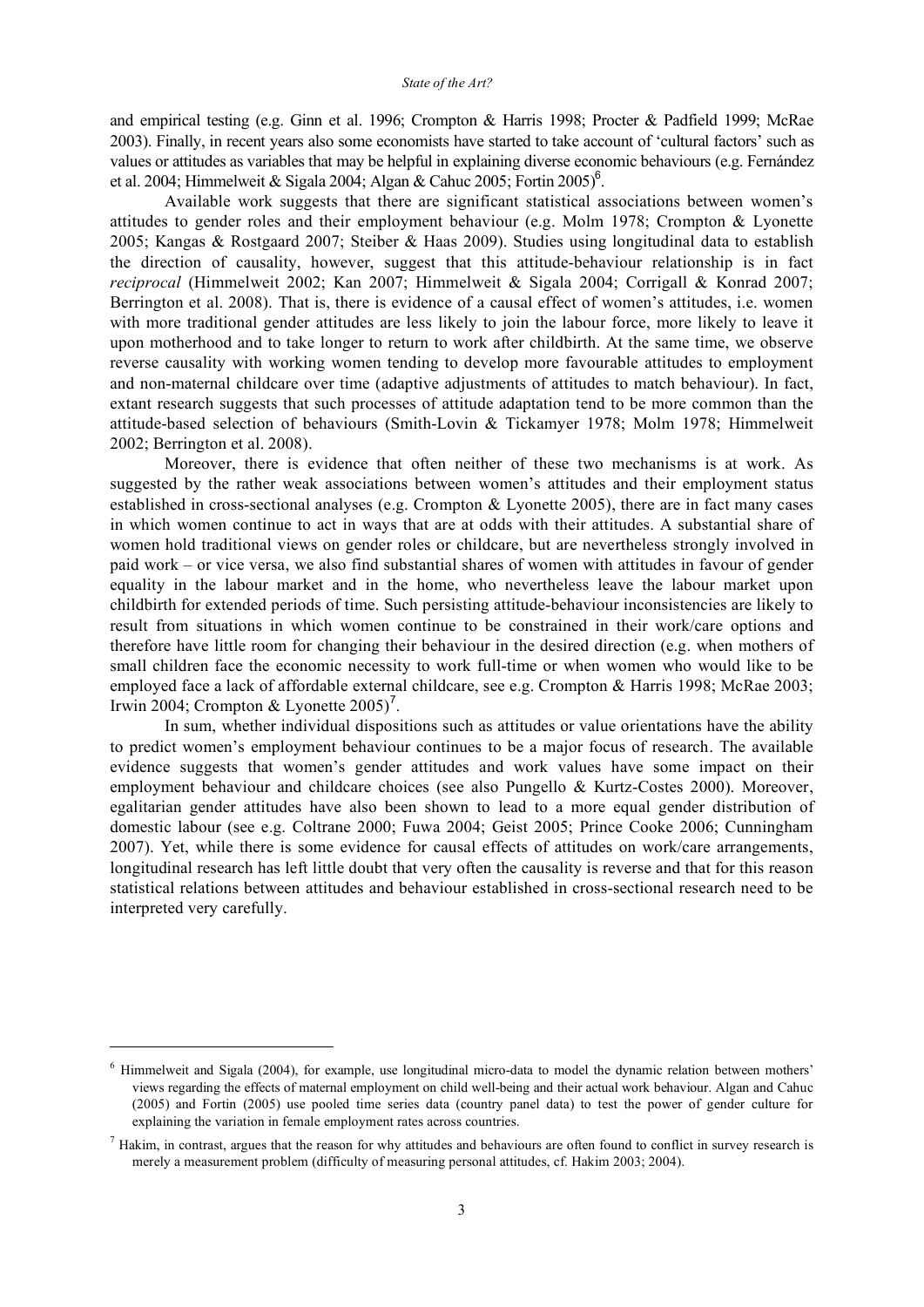and empirical testing (e.g. Ginn et al. 1996; Crompton & Harris 1998; Procter & Padfield 1999; McRae 2003). Finally, in recent years also some economists have started to take account of 'cultural factors' such as values or attitudes as variables that may be helpful in explaining diverse economic behaviours (e.g. Fernández et al. 2004; Himmelweit & Sigala 2004; Algan & Cahuc 2005; Fortin 2005)<sup>6</sup>.

Available work suggests that there are significant statistical associations between women's attitudes to gender roles and their employment behaviour (e.g. Molm 1978; Crompton & Lyonette 2005; Kangas & Rostgaard 2007; Steiber & Haas 2009). Studies using longitudinal data to establish the direction of causality, however, suggest that this attitude-behaviour relationship is in fact *reciprocal* (Himmelweit 2002; Kan 2007; Himmelweit & Sigala 2004; Corrigall & Konrad 2007; Berrington et al. 2008). That is, there is evidence of a causal effect of women's attitudes, i.e. women with more traditional gender attitudes are less likely to join the labour force, more likely to leave it upon motherhood and to take longer to return to work after childbirth. At the same time, we observe reverse causality with working women tending to develop more favourable attitudes to employment and non-maternal childcare over time (adaptive adjustments of attitudes to match behaviour). In fact, extant research suggests that such processes of attitude adaptation tend to be more common than the attitude-based selection of behaviours (Smith-Lovin & Tickamyer 1978; Molm 1978; Himmelweit 2002; Berrington et al. 2008).

Moreover, there is evidence that often neither of these two mechanisms is at work. As suggested by the rather weak associations between women's attitudes and their employment status established in cross-sectional analyses (e.g. Crompton & Lyonette 2005), there are in fact many cases in which women continue to act in ways that are at odds with their attitudes. A substantial share of women hold traditional views on gender roles or childcare, but are nevertheless strongly involved in paid work – or vice versa, we also find substantial shares of women with attitudes in favour of gender equality in the labour market and in the home, who nevertheless leave the labour market upon childbirth for extended periods of time. Such persisting attitude-behaviour inconsistencies are likely to result from situations in which women continue to be constrained in their work/care options and therefore have little room for changing their behaviour in the desired direction (e.g. when mothers of small children face the economic necessity to work full-time or when women who would like to be employed face a lack of affordable external childcare, see e.g. Crompton & Harris 1998; McRae 2003; Irwin 2004; Crompton & Lyonette  $2005$ <sup>7</sup>.

In sum, whether individual dispositions such as attitudes or value orientations have the ability to predict women's employment behaviour continues to be a major focus of research. The available evidence suggests that women's gender attitudes and work values have some impact on their employment behaviour and childcare choices (see also Pungello & Kurtz-Costes 2000). Moreover, egalitarian gender attitudes have also been shown to lead to a more equal gender distribution of domestic labour (see e.g. Coltrane 2000; Fuwa 2004; Geist 2005; Prince Cooke 2006; Cunningham 2007). Yet, while there is some evidence for causal effects of attitudes on work/care arrangements, longitudinal research has left little doubt that very often the causality is reverse and that for this reason statistical relations between attitudes and behaviour established in cross-sectional research need to be interpreted very carefully.

1

<sup>6</sup> Himmelweit and Sigala (2004), for example, use longitudinal micro-data to model the dynamic relation between mothers' views regarding the effects of maternal employment on child well-being and their actual work behaviour. Algan and Cahuc (2005) and Fortin (2005) use pooled time series data (country panel data) to test the power of gender culture for explaining the variation in female employment rates across countries.

 $<sup>7</sup>$  Hakim, in contrast, argues that the reason for why attitudes and behaviours are often found to conflict in survey research is</sup> merely a measurement problem (difficulty of measuring personal attitudes, cf. Hakim 2003; 2004).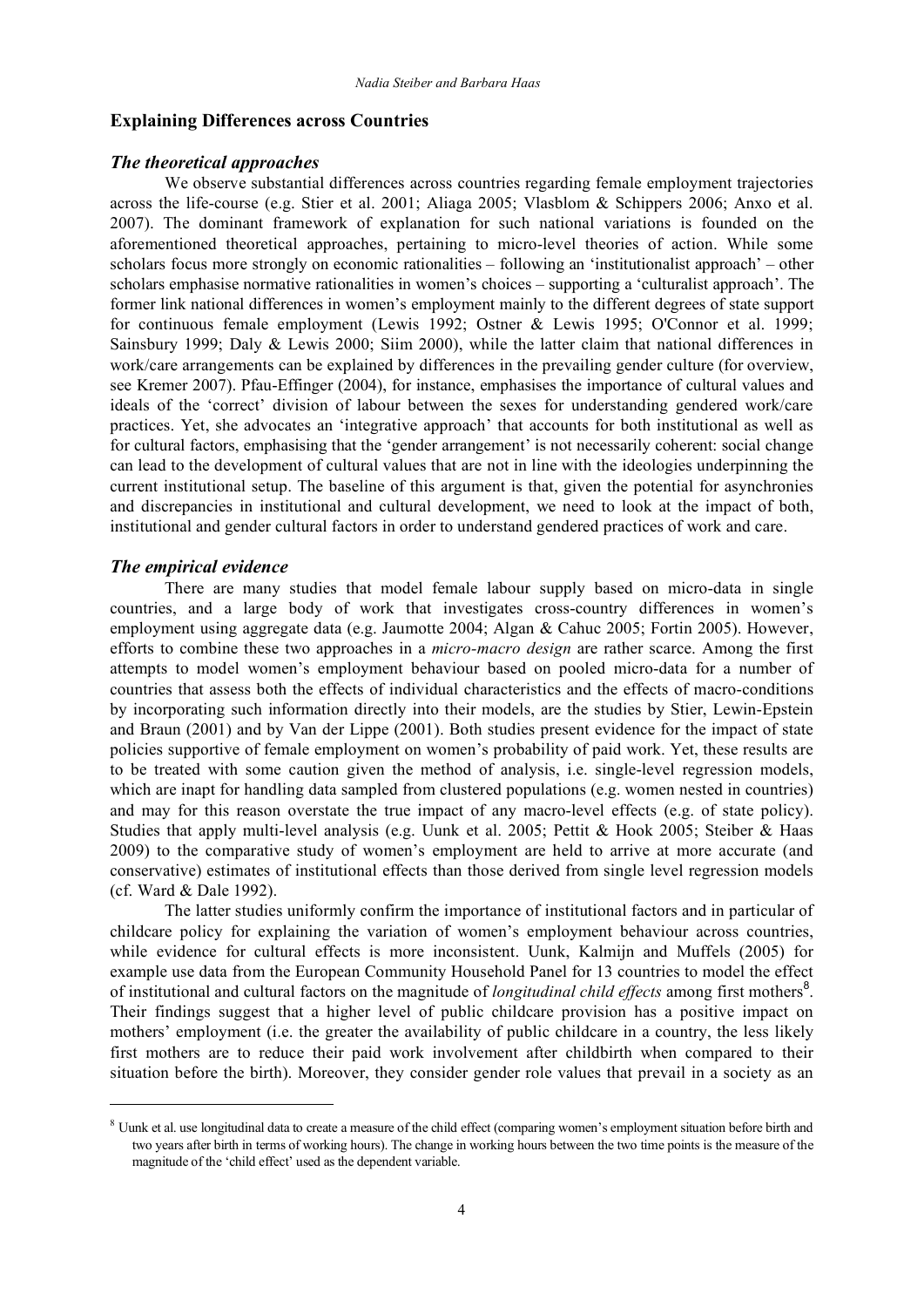## **Explaining Differences across Countries**

#### *The theoretical approaches*

We observe substantial differences across countries regarding female employment trajectories across the life-course (e.g. Stier et al. 2001; Aliaga 2005; Vlasblom & Schippers 2006; Anxo et al. 2007). The dominant framework of explanation for such national variations is founded on the aforementioned theoretical approaches, pertaining to micro-level theories of action. While some scholars focus more strongly on economic rationalities – following an 'institutionalist approach' – other scholars emphasise normative rationalities in women's choices – supporting a 'culturalist approach'. The former link national differences in women's employment mainly to the different degrees of state support for continuous female employment (Lewis 1992; Ostner & Lewis 1995; O'Connor et al. 1999; Sainsbury 1999; Daly & Lewis 2000; Siim 2000), while the latter claim that national differences in work/care arrangements can be explained by differences in the prevailing gender culture (for overview, see Kremer 2007). Pfau-Effinger (2004), for instance, emphasises the importance of cultural values and ideals of the 'correct' division of labour between the sexes for understanding gendered work/care practices. Yet, she advocates an 'integrative approach' that accounts for both institutional as well as for cultural factors, emphasising that the 'gender arrangement' is not necessarily coherent: social change can lead to the development of cultural values that are not in line with the ideologies underpinning the current institutional setup. The baseline of this argument is that, given the potential for asynchronies and discrepancies in institutional and cultural development, we need to look at the impact of both, institutional and gender cultural factors in order to understand gendered practices of work and care.

#### *The empirical evidence*

<u>.</u>

There are many studies that model female labour supply based on micro-data in single countries, and a large body of work that investigates cross-country differences in women's employment using aggregate data (e.g. Jaumotte 2004; Algan & Cahuc 2005; Fortin 2005). However, efforts to combine these two approaches in a *micro-macro design* are rather scarce. Among the first attempts to model women's employment behaviour based on pooled micro-data for a number of countries that assess both the effects of individual characteristics and the effects of macro-conditions by incorporating such information directly into their models, are the studies by Stier, Lewin-Epstein and Braun (2001) and by Van der Lippe (2001). Both studies present evidence for the impact of state policies supportive of female employment on women's probability of paid work. Yet, these results are to be treated with some caution given the method of analysis, i.e. single-level regression models, which are inapt for handling data sampled from clustered populations (e.g. women nested in countries) and may for this reason overstate the true impact of any macro-level effects (e.g. of state policy). Studies that apply multi-level analysis (e.g. Uunk et al. 2005; Pettit & Hook 2005; Steiber & Haas 2009) to the comparative study of women's employment are held to arrive at more accurate (and conservative) estimates of institutional effects than those derived from single level regression models (cf. Ward & Dale 1992).

The latter studies uniformly confirm the importance of institutional factors and in particular of childcare policy for explaining the variation of women's employment behaviour across countries, while evidence for cultural effects is more inconsistent. Uunk, Kalmijn and Muffels (2005) for example use data from the European Community Household Panel for 13 countries to model the effect of institutional and cultural factors on the magnitude of *longitudinal child effects* among first mothers<sup>8</sup>. Their findings suggest that a higher level of public childcare provision has a positive impact on mothers' employment (i.e. the greater the availability of public childcare in a country, the less likely first mothers are to reduce their paid work involvement after childbirth when compared to their situation before the birth). Moreover, they consider gender role values that prevail in a society as an

<sup>&</sup>lt;sup>8</sup> Uunk et al. use longitudinal data to create a measure of the child effect (comparing women's employment situation before birth and two years after birth in terms of working hours). The change in working hours between the two time points is the measure of the magnitude of the 'child effect' used as the dependent variable.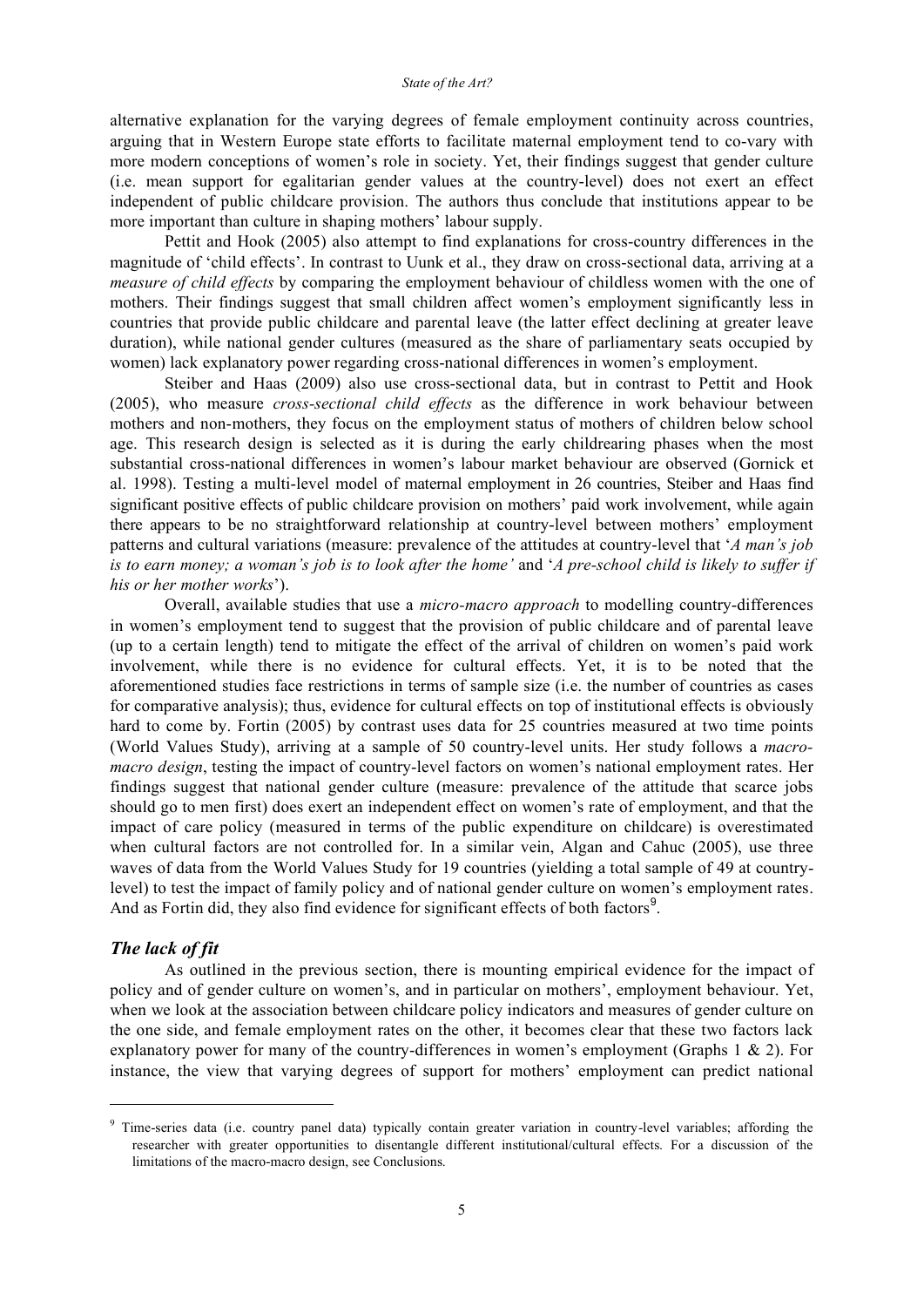alternative explanation for the varying degrees of female employment continuity across countries, arguing that in Western Europe state efforts to facilitate maternal employment tend to co-vary with more modern conceptions of women's role in society. Yet, their findings suggest that gender culture (i.e. mean support for egalitarian gender values at the country-level) does not exert an effect independent of public childcare provision. The authors thus conclude that institutions appear to be more important than culture in shaping mothers' labour supply.

Pettit and Hook (2005) also attempt to find explanations for cross-country differences in the magnitude of 'child effects'. In contrast to Uunk et al., they draw on cross-sectional data, arriving at a *measure of child effects* by comparing the employment behaviour of childless women with the one of mothers. Their findings suggest that small children affect women's employment significantly less in countries that provide public childcare and parental leave (the latter effect declining at greater leave duration), while national gender cultures (measured as the share of parliamentary seats occupied by women) lack explanatory power regarding cross-national differences in women's employment.

Steiber and Haas (2009) also use cross-sectional data, but in contrast to Pettit and Hook (2005), who measure *cross-sectional child effects* as the difference in work behaviour between mothers and non-mothers, they focus on the employment status of mothers of children below school age. This research design is selected as it is during the early childrearing phases when the most substantial cross-national differences in women's labour market behaviour are observed (Gornick et al. 1998). Testing a multi-level model of maternal employment in 26 countries, Steiber and Haas find significant positive effects of public childcare provision on mothers' paid work involvement, while again there appears to be no straightforward relationship at country-level between mothers' employment patterns and cultural variations (measure: prevalence of the attitudes at country-level that '*A man's job is to earn money; a woman's job is to look after the home'* and '*A pre-school child is likely to suffer if his or her mother works*').

Overall, available studies that use a *micro-macro approach* to modelling country-differences in women's employment tend to suggest that the provision of public childcare and of parental leave (up to a certain length) tend to mitigate the effect of the arrival of children on women's paid work involvement, while there is no evidence for cultural effects. Yet, it is to be noted that the aforementioned studies face restrictions in terms of sample size (i.e. the number of countries as cases for comparative analysis); thus, evidence for cultural effects on top of institutional effects is obviously hard to come by. Fortin (2005) by contrast uses data for 25 countries measured at two time points (World Values Study), arriving at a sample of 50 country-level units. Her study follows a *macromacro design*, testing the impact of country-level factors on women's national employment rates. Her findings suggest that national gender culture (measure: prevalence of the attitude that scarce jobs should go to men first) does exert an independent effect on women's rate of employment, and that the impact of care policy (measured in terms of the public expenditure on childcare) is overestimated when cultural factors are not controlled for. In a similar vein, Algan and Cahuc (2005), use three waves of data from the World Values Study for 19 countries (yielding a total sample of 49 at countrylevel) to test the impact of family policy and of national gender culture on women's employment rates. And as Fortin did, they also find evidence for significant effects of both factors<sup>9</sup>.

## *The lack of fit*

<u>.</u>

As outlined in the previous section, there is mounting empirical evidence for the impact of policy and of gender culture on women's, and in particular on mothers', employment behaviour. Yet, when we look at the association between childcare policy indicators and measures of gender culture on the one side, and female employment rates on the other, it becomes clear that these two factors lack explanatory power for many of the country-differences in women's employment (Graphs 1 & 2). For instance, the view that varying degrees of support for mothers' employment can predict national

<sup>&</sup>lt;sup>9</sup> Time-series data (i.e. country panel data) typically contain greater variation in country-level variables; affording the researcher with greater opportunities to disentangle different institutional/cultural effects. For a discussion of the limitations of the macro-macro design, see Conclusions.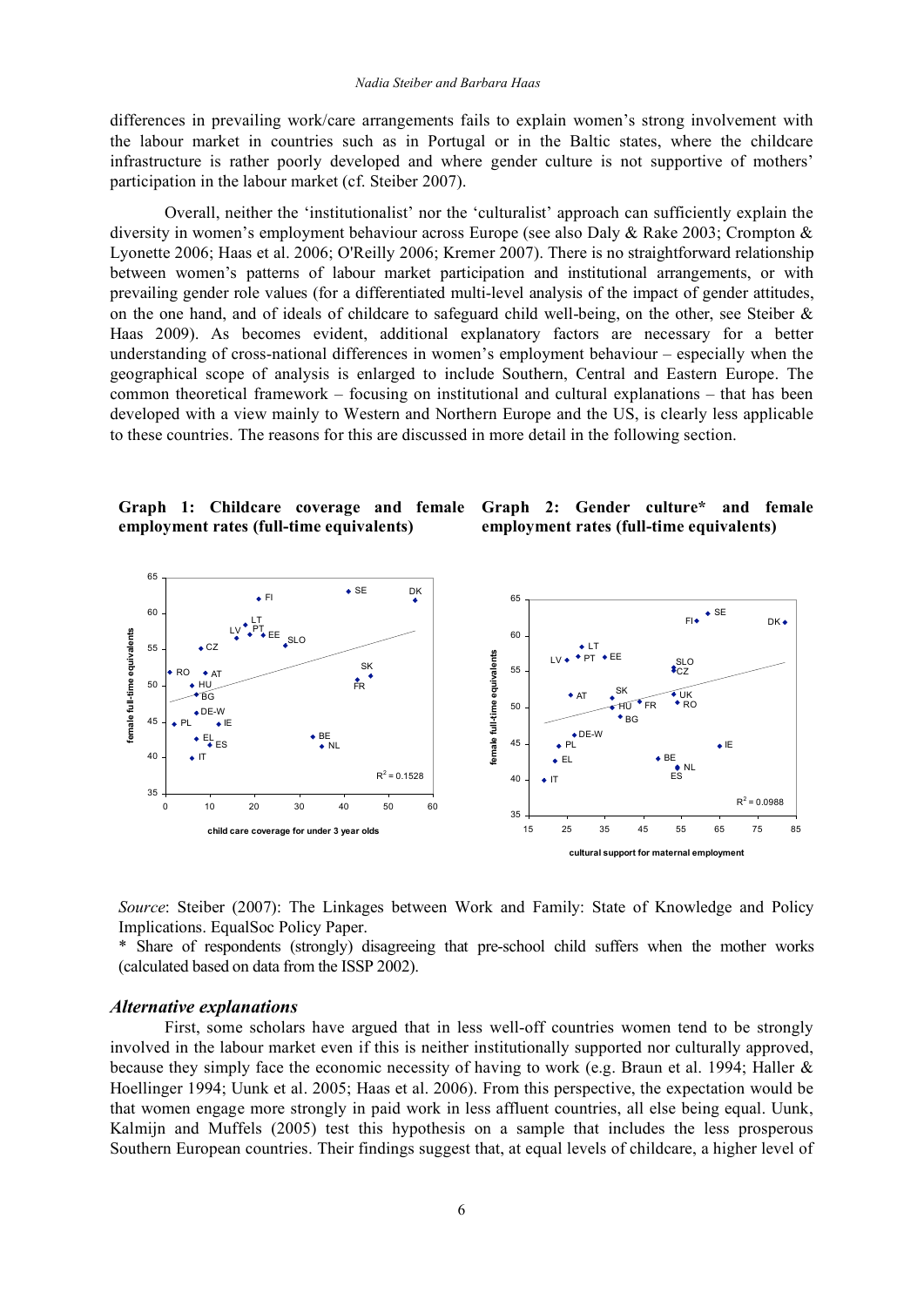differences in prevailing work/care arrangements fails to explain women's strong involvement with the labour market in countries such as in Portugal or in the Baltic states, where the childcare infrastructure is rather poorly developed and where gender culture is not supportive of mothers' participation in the labour market (cf. Steiber 2007).

Overall, neither the 'institutionalist' nor the 'culturalist' approach can sufficiently explain the diversity in women's employment behaviour across Europe (see also Daly & Rake 2003; Crompton & Lyonette 2006; Haas et al. 2006; O'Reilly 2006; Kremer 2007). There is no straightforward relationship between women's patterns of labour market participation and institutional arrangements, or with prevailing gender role values (for a differentiated multi-level analysis of the impact of gender attitudes, on the one hand, and of ideals of childcare to safeguard child well-being, on the other, see Steiber & Haas 2009). As becomes evident, additional explanatory factors are necessary for a better understanding of cross-national differences in women's employment behaviour – especially when the geographical scope of analysis is enlarged to include Southern, Central and Eastern Europe. The common theoretical framework – focusing on institutional and cultural explanations – that has been developed with a view mainly to Western and Northern Europe and the US, is clearly less applicable to these countries. The reasons for this are discussed in more detail in the following section.

## **Graph 1: Childcare coverage and female employment rates (full-time equivalents)**





*Source*: Steiber (2007): The Linkages between Work and Family: State of Knowledge and Policy Implications. EqualSoc Policy Paper.

\* Share of respondents (strongly) disagreeing that pre-school child suffers when the mother works (calculated based on data from the ISSP 2002).

#### *Alternative explanations*

First, some scholars have argued that in less well-off countries women tend to be strongly involved in the labour market even if this is neither institutionally supported nor culturally approved, because they simply face the economic necessity of having to work (e.g. Braun et al. 1994; Haller & Hoellinger 1994; Uunk et al. 2005; Haas et al. 2006). From this perspective, the expectation would be that women engage more strongly in paid work in less affluent countries, all else being equal. Uunk, Kalmijn and Muffels (2005) test this hypothesis on a sample that includes the less prosperous Southern European countries. Their findings suggest that, at equal levels of childcare, a higher level of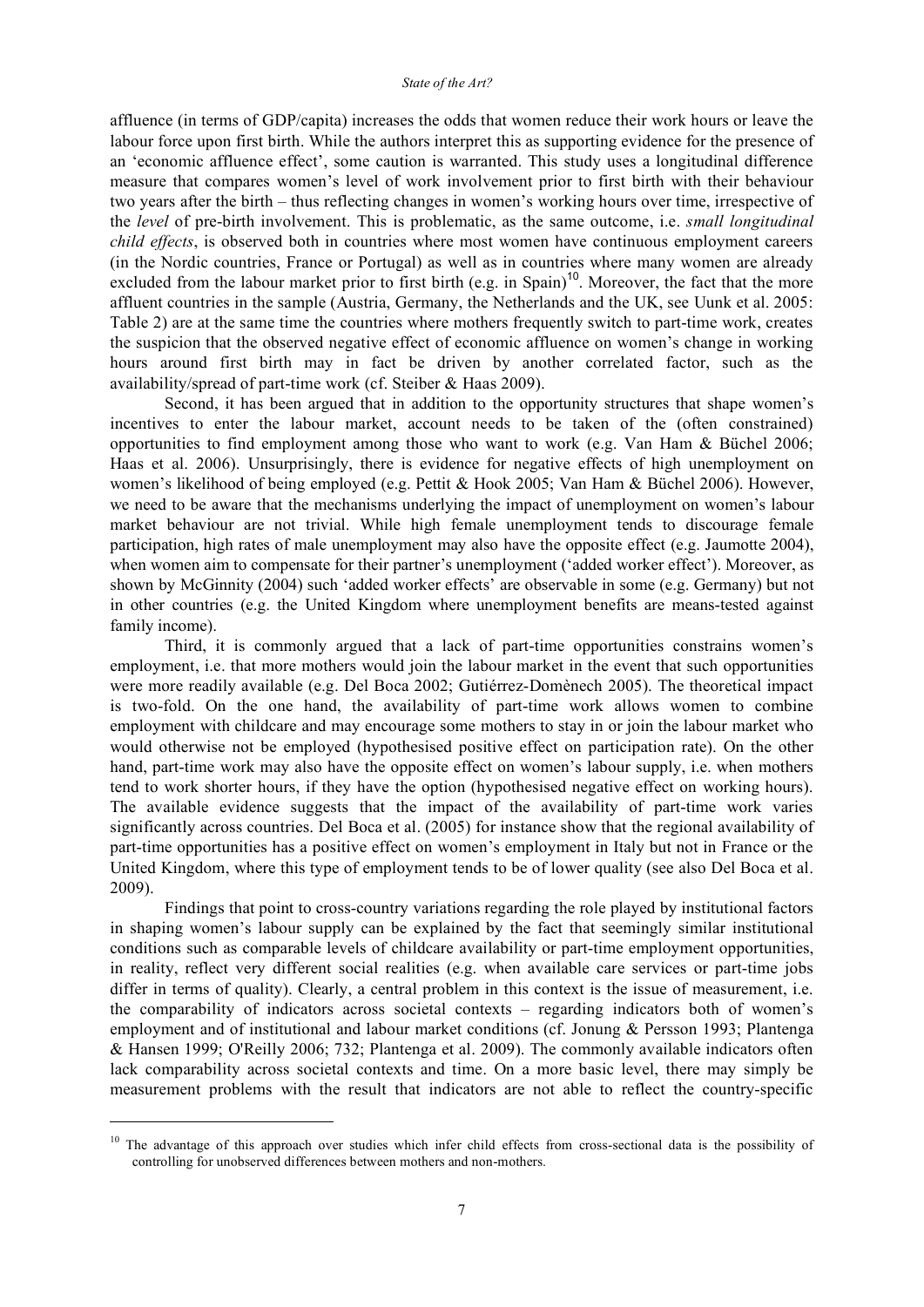affluence (in terms of GDP/capita) increases the odds that women reduce their work hours or leave the labour force upon first birth. While the authors interpret this as supporting evidence for the presence of an 'economic affluence effect', some caution is warranted. This study uses a longitudinal difference measure that compares women's level of work involvement prior to first birth with their behaviour two years after the birth – thus reflecting changes in women's working hours over time, irrespective of the *level* of pre-birth involvement. This is problematic, as the same outcome, i.e. *small longitudinal child effects*, is observed both in countries where most women have continuous employment careers (in the Nordic countries, France or Portugal) as well as in countries where many women are already excluded from the labour market prior to first birth (e.g. in Spain)<sup>10</sup>. Moreover, the fact that the more affluent countries in the sample (Austria, Germany, the Netherlands and the UK, see Uunk et al. 2005: Table 2) are at the same time the countries where mothers frequently switch to part-time work, creates the suspicion that the observed negative effect of economic affluence on women's change in working hours around first birth may in fact be driven by another correlated factor, such as the availability/spread of part-time work (cf. Steiber & Haas 2009).

Second, it has been argued that in addition to the opportunity structures that shape women's incentives to enter the labour market, account needs to be taken of the (often constrained) opportunities to find employment among those who want to work (e.g. Van Ham & Büchel 2006; Haas et al. 2006). Unsurprisingly, there is evidence for negative effects of high unemployment on women's likelihood of being employed (e.g. Pettit & Hook 2005; Van Ham & Büchel 2006). However, we need to be aware that the mechanisms underlying the impact of unemployment on women's labour market behaviour are not trivial. While high female unemployment tends to discourage female participation, high rates of male unemployment may also have the opposite effect (e.g. Jaumotte 2004), when women aim to compensate for their partner's unemployment ('added worker effect'). Moreover, as shown by McGinnity (2004) such 'added worker effects' are observable in some (e.g. Germany) but not in other countries (e.g. the United Kingdom where unemployment benefits are means-tested against family income).

Third, it is commonly argued that a lack of part-time opportunities constrains women's employment, i.e. that more mothers would join the labour market in the event that such opportunities were more readily available (e.g. Del Boca 2002; Gutiérrez-Domènech 2005). The theoretical impact is two-fold. On the one hand, the availability of part-time work allows women to combine employment with childcare and may encourage some mothers to stay in or join the labour market who would otherwise not be employed (hypothesised positive effect on participation rate). On the other hand, part-time work may also have the opposite effect on women's labour supply, i.e. when mothers tend to work shorter hours, if they have the option (hypothesised negative effect on working hours). The available evidence suggests that the impact of the availability of part-time work varies significantly across countries. Del Boca et al. (2005) for instance show that the regional availability of part-time opportunities has a positive effect on women's employment in Italy but not in France or the United Kingdom, where this type of employment tends to be of lower quality (see also Del Boca et al. 2009).

Findings that point to cross-country variations regarding the role played by institutional factors in shaping women's labour supply can be explained by the fact that seemingly similar institutional conditions such as comparable levels of childcare availability or part-time employment opportunities, in reality, reflect very different social realities (e.g. when available care services or part-time jobs differ in terms of quality). Clearly, a central problem in this context is the issue of measurement, i.e. the comparability of indicators across societal contexts – regarding indicators both of women's employment and of institutional and labour market conditions (cf. Jonung & Persson 1993; Plantenga & Hansen 1999; O'Reilly 2006; 732; Plantenga et al. 2009). The commonly available indicators often lack comparability across societal contexts and time. On a more basic level, there may simply be measurement problems with the result that indicators are not able to reflect the country-specific

1

<sup>&</sup>lt;sup>10</sup> The advantage of this approach over studies which infer child effects from cross-sectional data is the possibility of controlling for unobserved differences between mothers and non-mothers.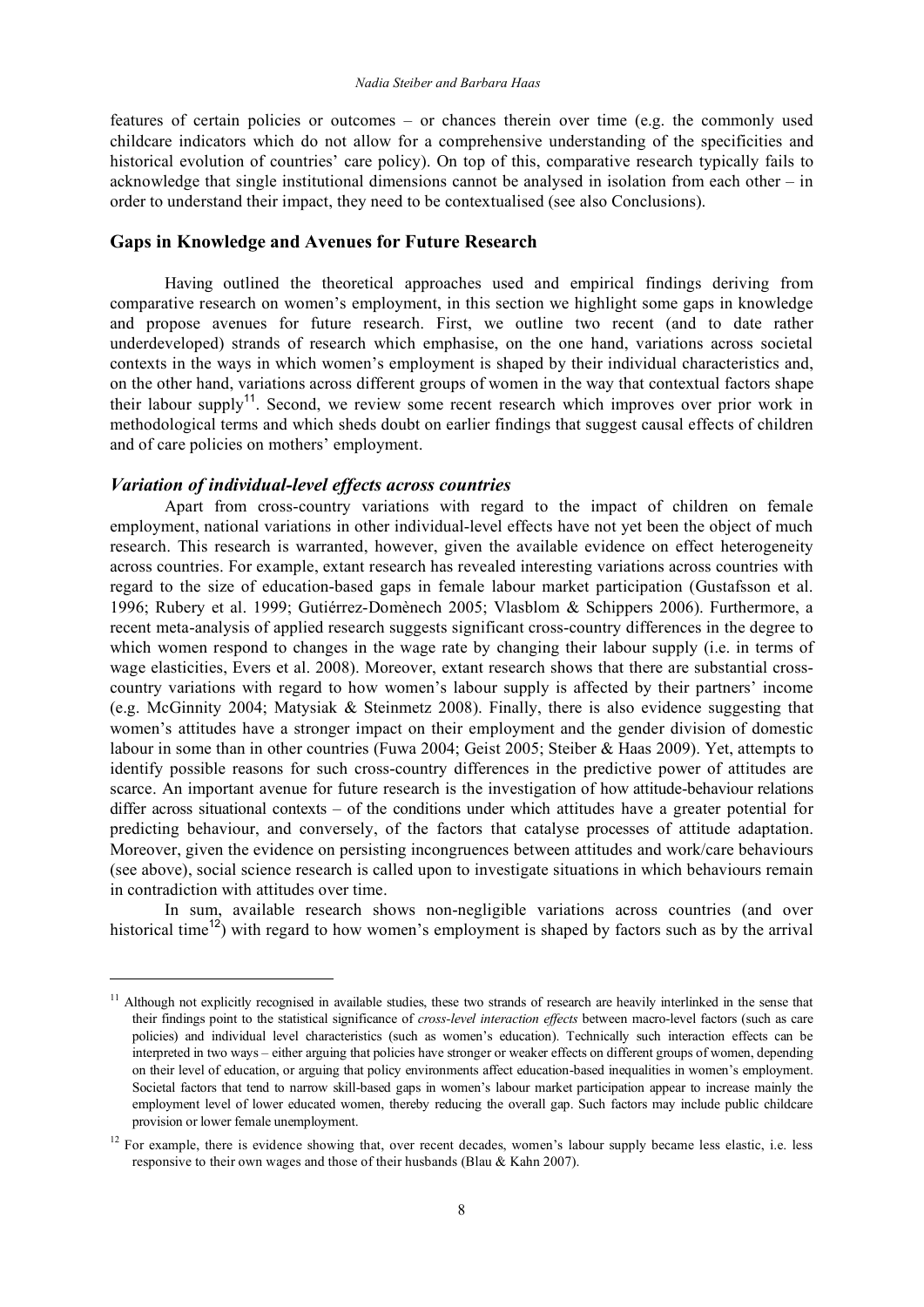features of certain policies or outcomes – or chances therein over time (e.g. the commonly used childcare indicators which do not allow for a comprehensive understanding of the specificities and historical evolution of countries' care policy). On top of this, comparative research typically fails to acknowledge that single institutional dimensions cannot be analysed in isolation from each other – in order to understand their impact, they need to be contextualised (see also Conclusions).

## **Gaps in Knowledge and Avenues for Future Research**

Having outlined the theoretical approaches used and empirical findings deriving from comparative research on women's employment, in this section we highlight some gaps in knowledge and propose avenues for future research. First, we outline two recent (and to date rather underdeveloped) strands of research which emphasise, on the one hand, variations across societal contexts in the ways in which women's employment is shaped by their individual characteristics and, on the other hand, variations across different groups of women in the way that contextual factors shape their labour supply<sup>11</sup>. Second, we review some recent research which improves over prior work in methodological terms and which sheds doubt on earlier findings that suggest causal effects of children and of care policies on mothers' employment.

## *Variation of individual-level effects across countries*

1

Apart from cross-country variations with regard to the impact of children on female employment, national variations in other individual-level effects have not yet been the object of much research. This research is warranted, however, given the available evidence on effect heterogeneity across countries. For example, extant research has revealed interesting variations across countries with regard to the size of education-based gaps in female labour market participation (Gustafsson et al. 1996; Rubery et al. 1999; Gutiérrez-Domènech 2005; Vlasblom & Schippers 2006). Furthermore, a recent meta-analysis of applied research suggests significant cross-country differences in the degree to which women respond to changes in the wage rate by changing their labour supply (i.e. in terms of wage elasticities, Evers et al. 2008). Moreover, extant research shows that there are substantial crosscountry variations with regard to how women's labour supply is affected by their partners' income (e.g. McGinnity 2004; Matysiak & Steinmetz 2008). Finally, there is also evidence suggesting that women's attitudes have a stronger impact on their employment and the gender division of domestic labour in some than in other countries (Fuwa 2004; Geist 2005; Steiber & Haas 2009). Yet, attempts to identify possible reasons for such cross-country differences in the predictive power of attitudes are scarce. An important avenue for future research is the investigation of how attitude-behaviour relations differ across situational contexts – of the conditions under which attitudes have a greater potential for predicting behaviour, and conversely, of the factors that catalyse processes of attitude adaptation. Moreover, given the evidence on persisting incongruences between attitudes and work/care behaviours (see above), social science research is called upon to investigate situations in which behaviours remain in contradiction with attitudes over time.

In sum, available research shows non-negligible variations across countries (and over historical time<sup>12</sup>) with regard to how women's employment is shaped by factors such as by the arrival

 $11$  Although not explicitly recognised in available studies, these two strands of research are heavily interlinked in the sense that their findings point to the statistical significance of *cross-level interaction effects* between macro-level factors (such as care policies) and individual level characteristics (such as women's education). Technically such interaction effects can be interpreted in two ways – either arguing that policies have stronger or weaker effects on different groups of women, depending on their level of education, or arguing that policy environments affect education-based inequalities in women's employment. Societal factors that tend to narrow skill-based gaps in women's labour market participation appear to increase mainly the employment level of lower educated women, thereby reducing the overall gap. Such factors may include public childcare provision or lower female unemployment.

<sup>&</sup>lt;sup>12</sup> For example, there is evidence showing that, over recent decades, women's labour supply became less elastic, i.e. less responsive to their own wages and those of their husbands (Blau & Kahn 2007).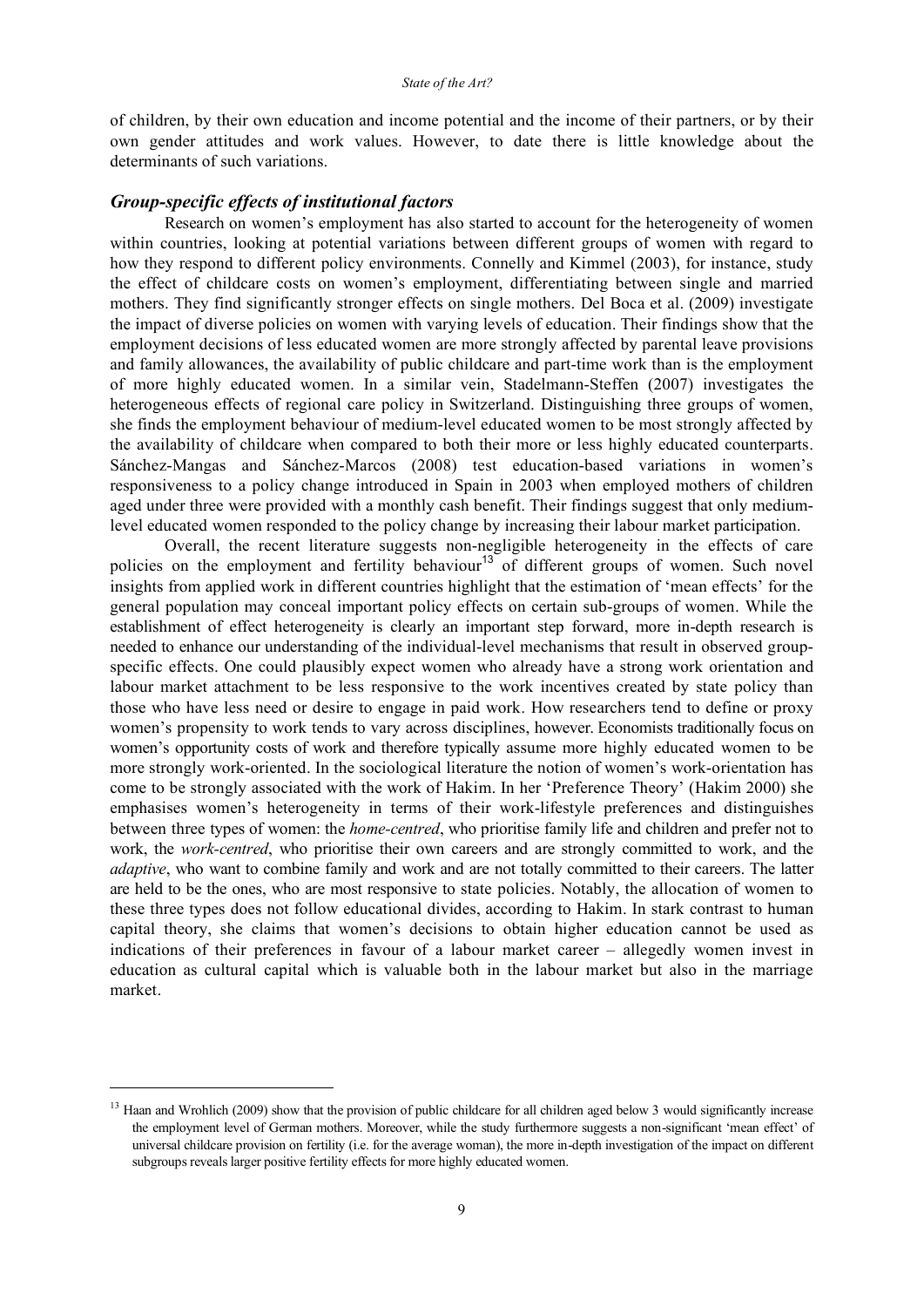of children, by their own education and income potential and the income of their partners, or by their own gender attitudes and work values. However, to date there is little knowledge about the determinants of such variations.

## *Group-specific effects of institutional factors*

1

Research on women's employment has also started to account for the heterogeneity of women within countries, looking at potential variations between different groups of women with regard to how they respond to different policy environments. Connelly and Kimmel (2003), for instance, study the effect of childcare costs on women's employment, differentiating between single and married mothers. They find significantly stronger effects on single mothers. Del Boca et al. (2009) investigate the impact of diverse policies on women with varying levels of education. Their findings show that the employment decisions of less educated women are more strongly affected by parental leave provisions and family allowances, the availability of public childcare and part-time work than is the employment of more highly educated women. In a similar vein, Stadelmann-Steffen (2007) investigates the heterogeneous effects of regional care policy in Switzerland. Distinguishing three groups of women, she finds the employment behaviour of medium-level educated women to be most strongly affected by the availability of childcare when compared to both their more or less highly educated counterparts. Sánchez-Mangas and Sánchez-Marcos (2008) test education-based variations in women's responsiveness to a policy change introduced in Spain in 2003 when employed mothers of children aged under three were provided with a monthly cash benefit. Their findings suggest that only mediumlevel educated women responded to the policy change by increasing their labour market participation.

Overall, the recent literature suggests non-negligible heterogeneity in the effects of care policies on the employment and fertility behaviour<sup>13</sup> of different groups of women. Such novel insights from applied work in different countries highlight that the estimation of 'mean effects' for the general population may conceal important policy effects on certain sub-groups of women. While the establishment of effect heterogeneity is clearly an important step forward, more in-depth research is needed to enhance our understanding of the individual-level mechanisms that result in observed groupspecific effects. One could plausibly expect women who already have a strong work orientation and labour market attachment to be less responsive to the work incentives created by state policy than those who have less need or desire to engage in paid work. How researchers tend to define or proxy women's propensity to work tends to vary across disciplines, however. Economists traditionally focus on women's opportunity costs of work and therefore typically assume more highly educated women to be more strongly work-oriented. In the sociological literature the notion of women's work-orientation has come to be strongly associated with the work of Hakim. In her 'Preference Theory' (Hakim 2000) she emphasises women's heterogeneity in terms of their work-lifestyle preferences and distinguishes between three types of women: the *home-centred*, who prioritise family life and children and prefer not to work, the *work-centred*, who prioritise their own careers and are strongly committed to work, and the *adaptive*, who want to combine family and work and are not totally committed to their careers. The latter are held to be the ones, who are most responsive to state policies. Notably, the allocation of women to these three types does not follow educational divides, according to Hakim. In stark contrast to human capital theory, she claims that women's decisions to obtain higher education cannot be used as indications of their preferences in favour of a labour market career – allegedly women invest in education as cultural capital which is valuable both in the labour market but also in the marriage market.

<sup>&</sup>lt;sup>13</sup> Haan and Wrohlich (2009) show that the provision of public childcare for all children aged below 3 would significantly increase the employment level of German mothers. Moreover, while the study furthermore suggests a non-significant 'mean effect' of universal childcare provision on fertility (i.e. for the average woman), the more in-depth investigation of the impact on different subgroups reveals larger positive fertility effects for more highly educated women.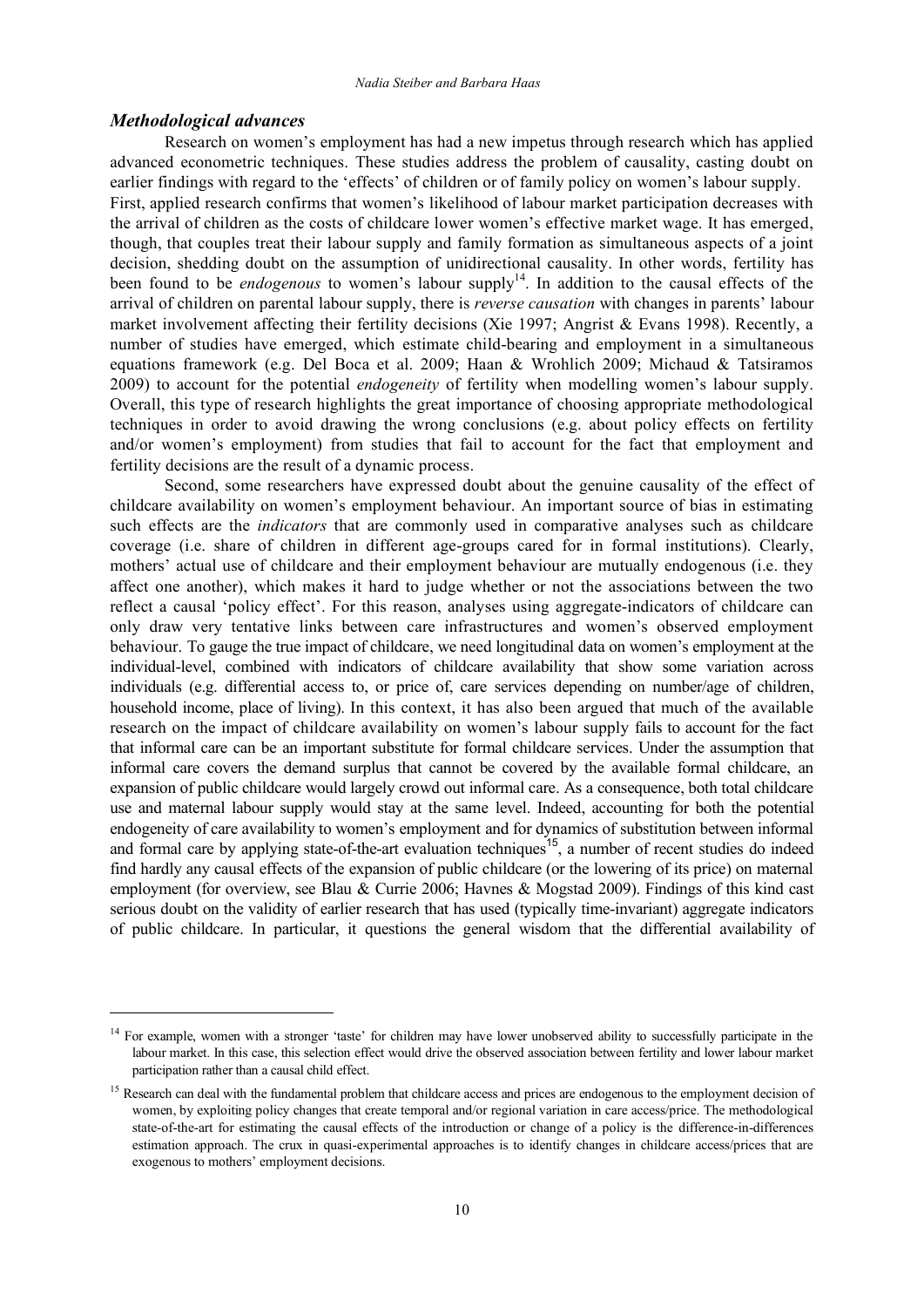#### *Methodological advances*

1

Research on women's employment has had a new impetus through research which has applied advanced econometric techniques. These studies address the problem of causality, casting doubt on earlier findings with regard to the 'effects' of children or of family policy on women's labour supply. First, applied research confirms that women's likelihood of labour market participation decreases with the arrival of children as the costs of childcare lower women's effective market wage. It has emerged, though, that couples treat their labour supply and family formation as simultaneous aspects of a joint decision, shedding doubt on the assumption of unidirectional causality. In other words, fertility has been found to be *endogenous* to women's labour supply<sup>14</sup>. In addition to the causal effects of the arrival of children on parental labour supply, there is *reverse causation* with changes in parents' labour market involvement affecting their fertility decisions (Xie 1997; Angrist & Evans 1998). Recently, a number of studies have emerged, which estimate child-bearing and employment in a simultaneous equations framework (e.g. Del Boca et al. 2009; Haan & Wrohlich 2009; Michaud & Tatsiramos 2009) to account for the potential *endogeneity* of fertility when modelling women's labour supply. Overall, this type of research highlights the great importance of choosing appropriate methodological techniques in order to avoid drawing the wrong conclusions (e.g. about policy effects on fertility and/or women's employment) from studies that fail to account for the fact that employment and fertility decisions are the result of a dynamic process.

Second, some researchers have expressed doubt about the genuine causality of the effect of childcare availability on women's employment behaviour. An important source of bias in estimating such effects are the *indicators* that are commonly used in comparative analyses such as childcare coverage (i.e. share of children in different age-groups cared for in formal institutions). Clearly, mothers' actual use of childcare and their employment behaviour are mutually endogenous (i.e. they affect one another), which makes it hard to judge whether or not the associations between the two reflect a causal 'policy effect'. For this reason, analyses using aggregate-indicators of childcare can only draw very tentative links between care infrastructures and women's observed employment behaviour. To gauge the true impact of childcare, we need longitudinal data on women's employment at the individual-level, combined with indicators of childcare availability that show some variation across individuals (e.g. differential access to, or price of, care services depending on number/age of children, household income, place of living). In this context, it has also been argued that much of the available research on the impact of childcare availability on women's labour supply fails to account for the fact that informal care can be an important substitute for formal childcare services. Under the assumption that informal care covers the demand surplus that cannot be covered by the available formal childcare, an expansion of public childcare would largely crowd out informal care. As a consequence, both total childcare use and maternal labour supply would stay at the same level. Indeed, accounting for both the potential endogeneity of care availability to women's employment and for dynamics of substitution between informal and formal care by applying state-of-the-art evaluation techniques<sup>15</sup>, a number of recent studies do indeed find hardly any causal effects of the expansion of public childcare (or the lowering of its price) on maternal employment (for overview, see Blau & Currie 2006; Havnes & Mogstad 2009). Findings of this kind cast serious doubt on the validity of earlier research that has used (typically time-invariant) aggregate indicators of public childcare. In particular, it questions the general wisdom that the differential availability of

<sup>&</sup>lt;sup>14</sup> For example, women with a stronger 'taste' for children may have lower unobserved ability to successfully participate in the labour market. In this case, this selection effect would drive the observed association between fertility and lower labour market participation rather than a causal child effect.

<sup>&</sup>lt;sup>15</sup> Research can deal with the fundamental problem that childcare access and prices are endogenous to the employment decision of women, by exploiting policy changes that create temporal and/or regional variation in care access/price. The methodological state-of-the-art for estimating the causal effects of the introduction or change of a policy is the difference-in-differences estimation approach. The crux in quasi-experimental approaches is to identify changes in childcare access/prices that are exogenous to mothers' employment decisions.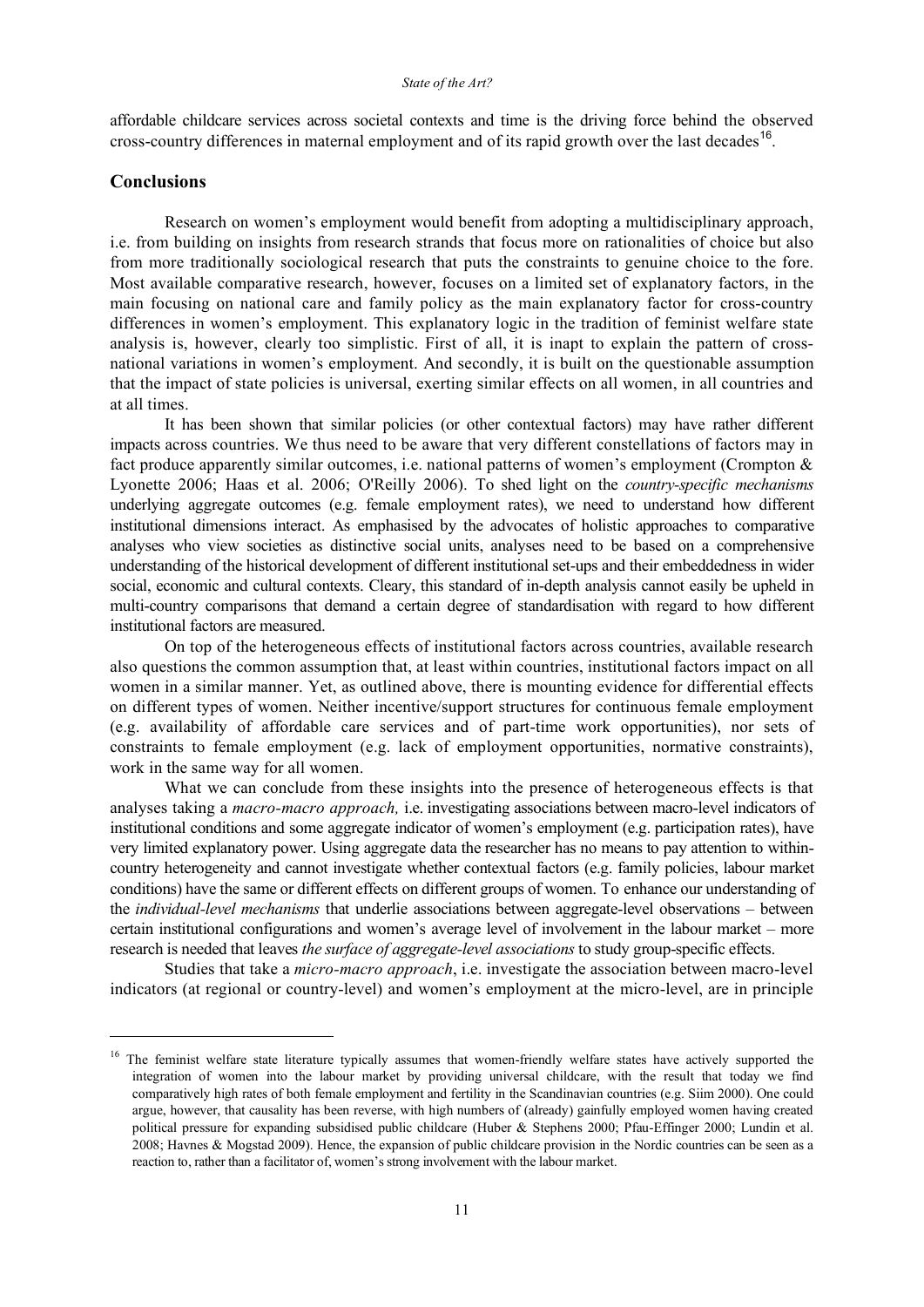affordable childcare services across societal contexts and time is the driving force behind the observed cross-country differences in maternal employment and of its rapid growth over the last decades<sup>16</sup>.

## **Conclusions**

1

Research on women's employment would benefit from adopting a multidisciplinary approach, i.e. from building on insights from research strands that focus more on rationalities of choice but also from more traditionally sociological research that puts the constraints to genuine choice to the fore. Most available comparative research, however, focuses on a limited set of explanatory factors, in the main focusing on national care and family policy as the main explanatory factor for cross-country differences in women's employment. This explanatory logic in the tradition of feminist welfare state analysis is, however, clearly too simplistic. First of all, it is inapt to explain the pattern of crossnational variations in women's employment. And secondly, it is built on the questionable assumption that the impact of state policies is universal, exerting similar effects on all women, in all countries and at all times.

It has been shown that similar policies (or other contextual factors) may have rather different impacts across countries. We thus need to be aware that very different constellations of factors may in fact produce apparently similar outcomes, i.e. national patterns of women's employment (Crompton & Lyonette 2006; Haas et al. 2006; O'Reilly 2006). To shed light on the *country-specific mechanisms* underlying aggregate outcomes (e.g. female employment rates), we need to understand how different institutional dimensions interact. As emphasised by the advocates of holistic approaches to comparative analyses who view societies as distinctive social units, analyses need to be based on a comprehensive understanding of the historical development of different institutional set-ups and their embeddedness in wider social, economic and cultural contexts. Cleary, this standard of in-depth analysis cannot easily be upheld in multi-country comparisons that demand a certain degree of standardisation with regard to how different institutional factors are measured.

On top of the heterogeneous effects of institutional factors across countries, available research also questions the common assumption that, at least within countries, institutional factors impact on all women in a similar manner. Yet, as outlined above, there is mounting evidence for differential effects on different types of women. Neither incentive/support structures for continuous female employment (e.g. availability of affordable care services and of part-time work opportunities), nor sets of constraints to female employment (e.g. lack of employment opportunities, normative constraints), work in the same way for all women.

What we can conclude from these insights into the presence of heterogeneous effects is that analyses taking a *macro-macro approach,* i.e. investigating associations between macro-level indicators of institutional conditions and some aggregate indicator of women's employment (e.g. participation rates), have very limited explanatory power. Using aggregate data the researcher has no means to pay attention to withincountry heterogeneity and cannot investigate whether contextual factors (e.g. family policies, labour market conditions) have the same or different effects on different groups of women. To enhance our understanding of the *individual-level mechanisms* that underlie associations between aggregate-level observations – between certain institutional configurations and women's average level of involvement in the labour market – more research is needed that leaves *the surface of aggregate-level associations* to study group-specific effects.

Studies that take a *micro-macro approach*, i.e. investigate the association between macro-level indicators (at regional or country-level) and women's employment at the micro-level, are in principle

<sup>&</sup>lt;sup>16</sup> The feminist welfare state literature typically assumes that women-friendly welfare states have actively supported the integration of women into the labour market by providing universal childcare, with the result that today we find comparatively high rates of both female employment and fertility in the Scandinavian countries (e.g. Siim 2000). One could argue, however, that causality has been reverse, with high numbers of (already) gainfully employed women having created political pressure for expanding subsidised public childcare (Huber & Stephens 2000; Pfau-Effinger 2000; Lundin et al. 2008; Havnes & Mogstad 2009). Hence, the expansion of public childcare provision in the Nordic countries can be seen as a reaction to, rather than a facilitator of, women's strong involvement with the labour market.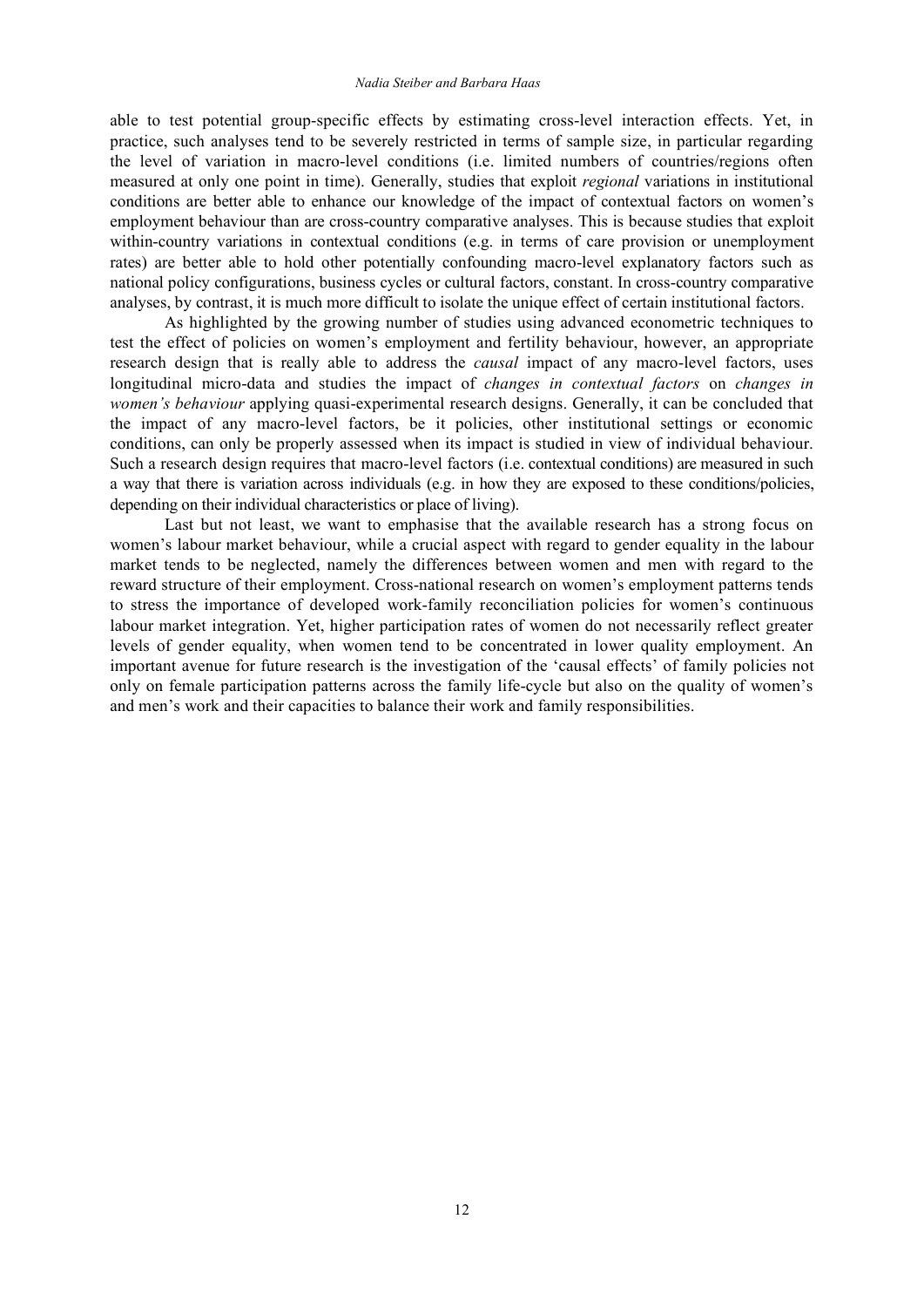#### *Nadia Steiber and Barbara Haas*

able to test potential group-specific effects by estimating cross-level interaction effects. Yet, in practice, such analyses tend to be severely restricted in terms of sample size, in particular regarding the level of variation in macro-level conditions (i.e. limited numbers of countries/regions often measured at only one point in time). Generally, studies that exploit *regional* variations in institutional conditions are better able to enhance our knowledge of the impact of contextual factors on women's employment behaviour than are cross-country comparative analyses. This is because studies that exploit within-country variations in contextual conditions (e.g. in terms of care provision or unemployment rates) are better able to hold other potentially confounding macro-level explanatory factors such as national policy configurations, business cycles or cultural factors, constant. In cross-country comparative analyses, by contrast, it is much more difficult to isolate the unique effect of certain institutional factors.

As highlighted by the growing number of studies using advanced econometric techniques to test the effect of policies on women's employment and fertility behaviour, however, an appropriate research design that is really able to address the *causal* impact of any macro-level factors, uses longitudinal micro-data and studies the impact of *changes in contextual factors* on *changes in women's behaviour* applying quasi-experimental research designs. Generally, it can be concluded that the impact of any macro-level factors, be it policies, other institutional settings or economic conditions, can only be properly assessed when its impact is studied in view of individual behaviour. Such a research design requires that macro-level factors (i.e. contextual conditions) are measured in such a way that there is variation across individuals (e.g. in how they are exposed to these conditions/policies, depending on their individual characteristics or place of living).

Last but not least, we want to emphasise that the available research has a strong focus on women's labour market behaviour, while a crucial aspect with regard to gender equality in the labour market tends to be neglected, namely the differences between women and men with regard to the reward structure of their employment. Cross-national research on women's employment patterns tends to stress the importance of developed work-family reconciliation policies for women's continuous labour market integration. Yet, higher participation rates of women do not necessarily reflect greater levels of gender equality, when women tend to be concentrated in lower quality employment. An important avenue for future research is the investigation of the 'causal effects' of family policies not only on female participation patterns across the family life-cycle but also on the quality of women's and men's work and their capacities to balance their work and family responsibilities.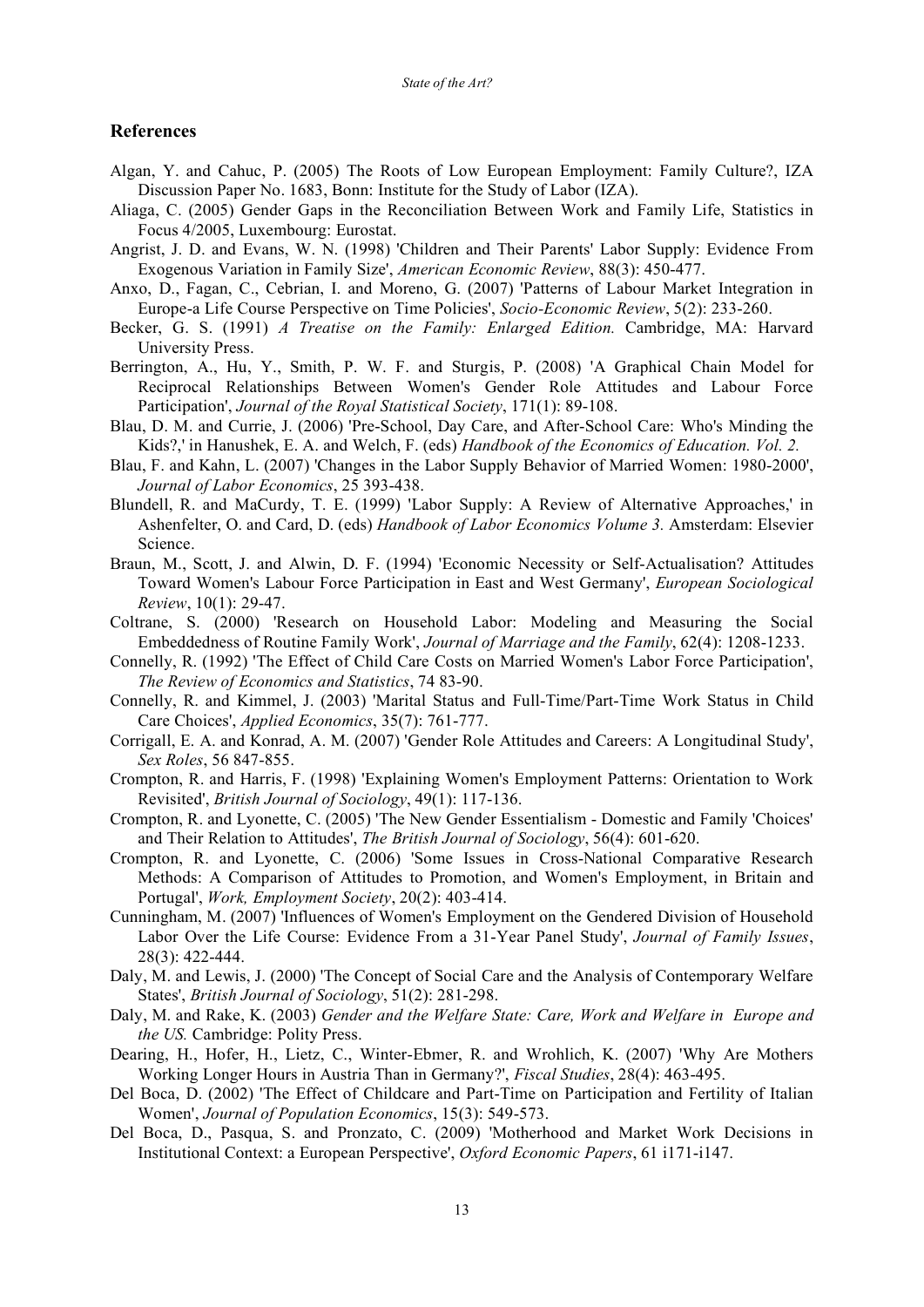#### *State of the Art?*

## **References**

- Algan, Y. and Cahuc, P. (2005) The Roots of Low European Employment: Family Culture?, IZA Discussion Paper No. 1683, Bonn: Institute for the Study of Labor (IZA).
- Aliaga, C. (2005) Gender Gaps in the Reconciliation Between Work and Family Life, Statistics in Focus 4/2005, Luxembourg: Eurostat.
- Angrist, J. D. and Evans, W. N. (1998) 'Children and Their Parents' Labor Supply: Evidence From Exogenous Variation in Family Size', *American Economic Review*, 88(3): 450-477.
- Anxo, D., Fagan, C., Cebrian, I. and Moreno, G. (2007) 'Patterns of Labour Market Integration in Europe-a Life Course Perspective on Time Policies', *Socio-Economic Review*, 5(2): 233-260.
- Becker, G. S. (1991) *A Treatise on the Family: Enlarged Edition.* Cambridge, MA: Harvard University Press.
- Berrington, A., Hu, Y., Smith, P. W. F. and Sturgis, P. (2008) 'A Graphical Chain Model for Reciprocal Relationships Between Women's Gender Role Attitudes and Labour Force Participation', *Journal of the Royal Statistical Society*, 171(1): 89-108.
- Blau, D. M. and Currie, J. (2006) 'Pre-School, Day Care, and After-School Care: Who's Minding the Kids?,' in Hanushek, E. A. and Welch, F. (eds) *Handbook of the Economics of Education. Vol. 2.*
- Blau, F. and Kahn, L. (2007) 'Changes in the Labor Supply Behavior of Married Women: 1980-2000', *Journal of Labor Economics*, 25 393-438.
- Blundell, R. and MaCurdy, T. E. (1999) 'Labor Supply: A Review of Alternative Approaches,' in Ashenfelter, O. and Card, D. (eds) *Handbook of Labor Economics Volume 3.* Amsterdam: Elsevier Science.
- Braun, M., Scott, J. and Alwin, D. F. (1994) 'Economic Necessity or Self-Actualisation? Attitudes Toward Women's Labour Force Participation in East and West Germany', *European Sociological Review*, 10(1): 29-47.
- Coltrane, S. (2000) 'Research on Household Labor: Modeling and Measuring the Social Embeddedness of Routine Family Work', *Journal of Marriage and the Family*, 62(4): 1208-1233.
- Connelly, R. (1992) 'The Effect of Child Care Costs on Married Women's Labor Force Participation', *The Review of Economics and Statistics*, 74 83-90.
- Connelly, R. and Kimmel, J. (2003) 'Marital Status and Full-Time/Part-Time Work Status in Child Care Choices', *Applied Economics*, 35(7): 761-777.
- Corrigall, E. A. and Konrad, A. M. (2007) 'Gender Role Attitudes and Careers: A Longitudinal Study', *Sex Roles*, 56 847-855.
- Crompton, R. and Harris, F. (1998) 'Explaining Women's Employment Patterns: Orientation to Work Revisited', *British Journal of Sociology*, 49(1): 117-136.
- Crompton, R. and Lyonette, C. (2005) 'The New Gender Essentialism Domestic and Family 'Choices' and Their Relation to Attitudes', *The British Journal of Sociology*, 56(4): 601-620.
- Crompton, R. and Lyonette, C. (2006) 'Some Issues in Cross-National Comparative Research Methods: A Comparison of Attitudes to Promotion, and Women's Employment, in Britain and Portugal', *Work, Employment Society*, 20(2): 403-414.
- Cunningham, M. (2007) 'Influences of Women's Employment on the Gendered Division of Household Labor Over the Life Course: Evidence From a 31-Year Panel Study', *Journal of Family Issues*, 28(3): 422-444.
- Daly, M. and Lewis, J. (2000) 'The Concept of Social Care and the Analysis of Contemporary Welfare States', *British Journal of Sociology*, 51(2): 281-298.
- Daly, M. and Rake, K. (2003) *Gender and the Welfare State: Care, Work and Welfare in Europe and the US.* Cambridge: Polity Press.
- Dearing, H., Hofer, H., Lietz, C., Winter-Ebmer, R. and Wrohlich, K. (2007) 'Why Are Mothers Working Longer Hours in Austria Than in Germany?', *Fiscal Studies*, 28(4): 463-495.
- Del Boca, D. (2002) 'The Effect of Childcare and Part-Time on Participation and Fertility of Italian Women', *Journal of Population Economics*, 15(3): 549-573.
- Del Boca, D., Pasqua, S. and Pronzato, C. (2009) 'Motherhood and Market Work Decisions in Institutional Context: a European Perspective', *Oxford Economic Papers*, 61 i171-i147.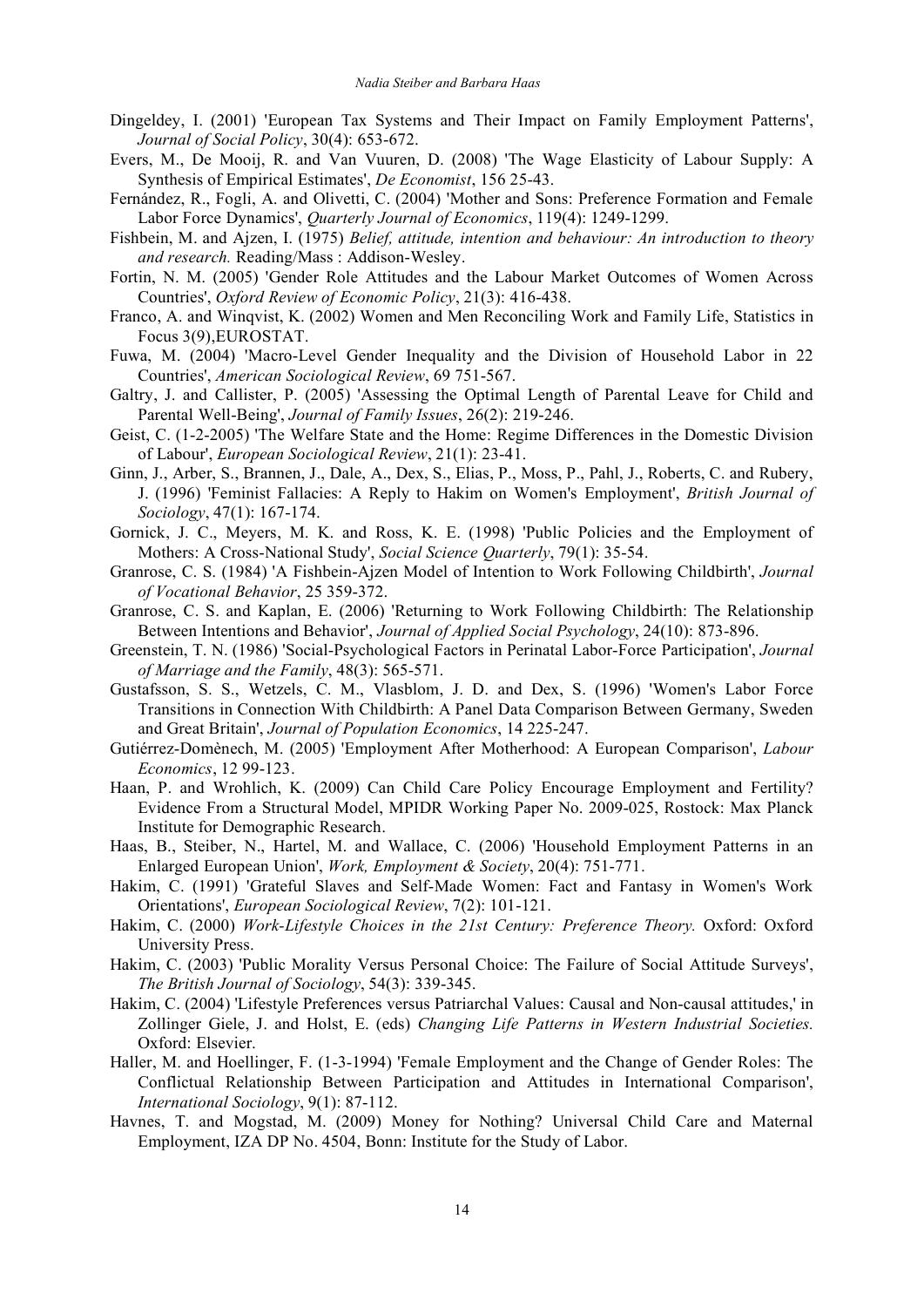- Dingeldey, I. (2001) 'European Tax Systems and Their Impact on Family Employment Patterns', *Journal of Social Policy*, 30(4): 653-672.
- Evers, M., De Mooij, R. and Van Vuuren, D. (2008) 'The Wage Elasticity of Labour Supply: A Synthesis of Empirical Estimates', *De Economist*, 156 25-43.
- Fernández, R., Fogli, A. and Olivetti, C. (2004) 'Mother and Sons: Preference Formation and Female Labor Force Dynamics', *Quarterly Journal of Economics*, 119(4): 1249-1299.
- Fishbein, M. and Ajzen, I. (1975) *Belief, attitude, intention and behaviour: An introduction to theory and research.* Reading/Mass : Addison-Wesley.
- Fortin, N. M. (2005) 'Gender Role Attitudes and the Labour Market Outcomes of Women Across Countries', *Oxford Review of Economic Policy*, 21(3): 416-438.
- Franco, A. and Winqvist, K. (2002) Women and Men Reconciling Work and Family Life, Statistics in Focus 3(9),EUROSTAT.
- Fuwa, M. (2004) 'Macro-Level Gender Inequality and the Division of Household Labor in 22 Countries', *American Sociological Review*, 69 751-567.
- Galtry, J. and Callister, P. (2005) 'Assessing the Optimal Length of Parental Leave for Child and Parental Well-Being', *Journal of Family Issues*, 26(2): 219-246.
- Geist, C. (1-2-2005) 'The Welfare State and the Home: Regime Differences in the Domestic Division of Labour', *European Sociological Review*, 21(1): 23-41.
- Ginn, J., Arber, S., Brannen, J., Dale, A., Dex, S., Elias, P., Moss, P., Pahl, J., Roberts, C. and Rubery, J. (1996) 'Feminist Fallacies: A Reply to Hakim on Women's Employment', *British Journal of Sociology*, 47(1): 167-174.
- Gornick, J. C., Meyers, M. K. and Ross, K. E. (1998) 'Public Policies and the Employment of Mothers: A Cross-National Study', *Social Science Quarterly*, 79(1): 35-54.
- Granrose, C. S. (1984) 'A Fishbein-Ajzen Model of Intention to Work Following Childbirth', *Journal of Vocational Behavior*, 25 359-372.
- Granrose, C. S. and Kaplan, E. (2006) 'Returning to Work Following Childbirth: The Relationship Between Intentions and Behavior', *Journal of Applied Social Psychology*, 24(10): 873-896.
- Greenstein, T. N. (1986) 'Social-Psychological Factors in Perinatal Labor-Force Participation', *Journal of Marriage and the Family*, 48(3): 565-571.
- Gustafsson, S. S., Wetzels, C. M., Vlasblom, J. D. and Dex, S. (1996) 'Women's Labor Force Transitions in Connection With Childbirth: A Panel Data Comparison Between Germany, Sweden and Great Britain', *Journal of Population Economics*, 14 225-247.
- Gutiérrez-Domènech, M. (2005) 'Employment After Motherhood: A European Comparison', *Labour Economics*, 12 99-123.
- Haan, P. and Wrohlich, K. (2009) Can Child Care Policy Encourage Employment and Fertility? Evidence From a Structural Model, MPIDR Working Paper No. 2009-025, Rostock: Max Planck Institute for Demographic Research.
- Haas, B., Steiber, N., Hartel, M. and Wallace, C. (2006) 'Household Employment Patterns in an Enlarged European Union', *Work, Employment & Society*, 20(4): 751-771.
- Hakim, C. (1991) 'Grateful Slaves and Self-Made Women: Fact and Fantasy in Women's Work Orientations', *European Sociological Review*, 7(2): 101-121.
- Hakim, C. (2000) *Work-Lifestyle Choices in the 21st Century: Preference Theory.* Oxford: Oxford University Press.
- Hakim, C. (2003) 'Public Morality Versus Personal Choice: The Failure of Social Attitude Surveys', *The British Journal of Sociology*, 54(3): 339-345.
- Hakim, C. (2004) 'Lifestyle Preferences versus Patriarchal Values: Causal and Non-causal attitudes,' in Zollinger Giele, J. and Holst, E. (eds) *Changing Life Patterns in Western Industrial Societies.* Oxford: Elsevier.
- Haller, M. and Hoellinger, F. (1-3-1994) 'Female Employment and the Change of Gender Roles: The Conflictual Relationship Between Participation and Attitudes in International Comparison', *International Sociology*, 9(1): 87-112.
- Havnes, T. and Mogstad, M. (2009) Money for Nothing? Universal Child Care and Maternal Employment, IZA DP No. 4504, Bonn: Institute for the Study of Labor.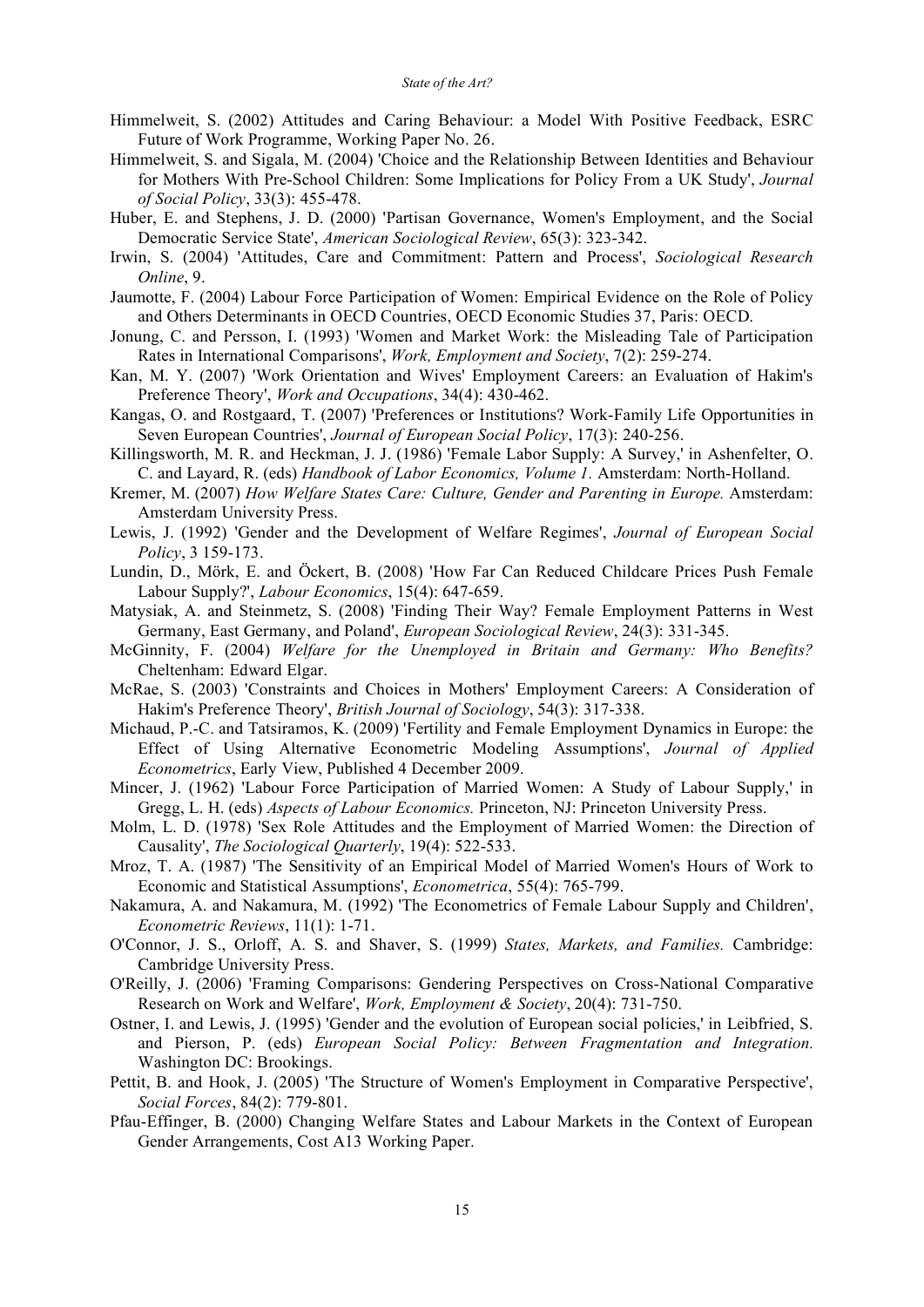- Himmelweit, S. (2002) Attitudes and Caring Behaviour: a Model With Positive Feedback, ESRC Future of Work Programme, Working Paper No. 26.
- Himmelweit, S. and Sigala, M. (2004) 'Choice and the Relationship Between Identities and Behaviour for Mothers With Pre-School Children: Some Implications for Policy From a UK Study', *Journal of Social Policy*, 33(3): 455-478.
- Huber, E. and Stephens, J. D. (2000) 'Partisan Governance, Women's Employment, and the Social Democratic Service State', *American Sociological Review*, 65(3): 323-342.
- Irwin, S. (2004) 'Attitudes, Care and Commitment: Pattern and Process', *Sociological Research Online*, 9.
- Jaumotte, F. (2004) Labour Force Participation of Women: Empirical Evidence on the Role of Policy and Others Determinants in OECD Countries, OECD Economic Studies 37, Paris: OECD.
- Jonung, C. and Persson, I. (1993) 'Women and Market Work: the Misleading Tale of Participation Rates in International Comparisons', *Work, Employment and Society*, 7(2): 259-274.
- Kan, M. Y. (2007) 'Work Orientation and Wives' Employment Careers: an Evaluation of Hakim's Preference Theory', *Work and Occupations*, 34(4): 430-462.
- Kangas, O. and Rostgaard, T. (2007) 'Preferences or Institutions? Work-Family Life Opportunities in Seven European Countries', *Journal of European Social Policy*, 17(3): 240-256.
- Killingsworth, M. R. and Heckman, J. J. (1986) 'Female Labor Supply: A Survey,' in Ashenfelter, O. C. and Layard, R. (eds) *Handbook of Labor Economics, Volume 1.* Amsterdam: North-Holland.
- Kremer, M. (2007) *How Welfare States Care: Culture, Gender and Parenting in Europe.* Amsterdam: Amsterdam University Press.
- Lewis, J. (1992) 'Gender and the Development of Welfare Regimes', *Journal of European Social Policy*, 3 159-173.
- Lundin, D., Mörk, E. and Öckert, B. (2008) 'How Far Can Reduced Childcare Prices Push Female Labour Supply?', *Labour Economics*, 15(4): 647-659.
- Matysiak, A. and Steinmetz, S. (2008) 'Finding Their Way? Female Employment Patterns in West Germany, East Germany, and Poland', *European Sociological Review*, 24(3): 331-345.
- McGinnity, F. (2004) *Welfare for the Unemployed in Britain and Germany: Who Benefits?* Cheltenham: Edward Elgar.
- McRae, S. (2003) 'Constraints and Choices in Mothers' Employment Careers: A Consideration of Hakim's Preference Theory', *British Journal of Sociology*, 54(3): 317-338.
- Michaud, P.-C. and Tatsiramos, K. (2009) 'Fertility and Female Employment Dynamics in Europe: the Effect of Using Alternative Econometric Modeling Assumptions', *Journal of Applied Econometrics*, Early View, Published 4 December 2009.
- Mincer, J. (1962) 'Labour Force Participation of Married Women: A Study of Labour Supply,' in Gregg, L. H. (eds) *Aspects of Labour Economics.* Princeton, NJ: Princeton University Press.
- Molm, L. D. (1978) 'Sex Role Attitudes and the Employment of Married Women: the Direction of Causality', *The Sociological Quarterly*, 19(4): 522-533.
- Mroz, T. A. (1987) 'The Sensitivity of an Empirical Model of Married Women's Hours of Work to Economic and Statistical Assumptions', *Econometrica*, 55(4): 765-799.
- Nakamura, A. and Nakamura, M. (1992) 'The Econometrics of Female Labour Supply and Children', *Econometric Reviews*, 11(1): 1-71.
- O'Connor, J. S., Orloff, A. S. and Shaver, S. (1999) *States, Markets, and Families.* Cambridge: Cambridge University Press.
- O'Reilly, J. (2006) 'Framing Comparisons: Gendering Perspectives on Cross-National Comparative Research on Work and Welfare', *Work, Employment & Society*, 20(4): 731-750.
- Ostner, I. and Lewis, J. (1995) 'Gender and the evolution of European social policies,' in Leibfried, S. and Pierson, P. (eds) *European Social Policy: Between Fragmentation and Integration.* Washington DC: Brookings.
- Pettit, B. and Hook, J. (2005) 'The Structure of Women's Employment in Comparative Perspective', *Social Forces*, 84(2): 779-801.
- Pfau-Effinger, B. (2000) Changing Welfare States and Labour Markets in the Context of European Gender Arrangements, Cost A13 Working Paper.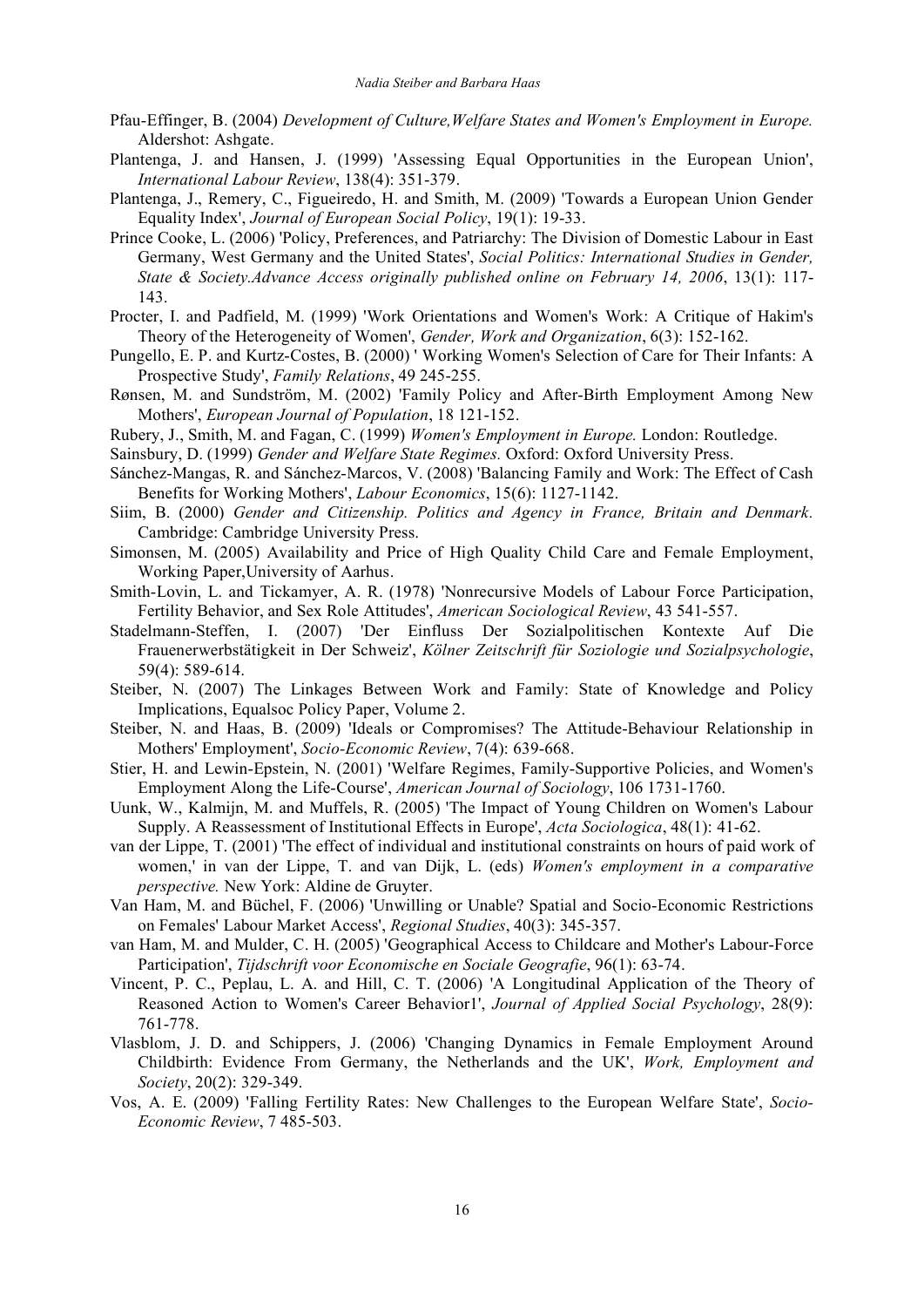- Pfau-Effinger, B. (2004) *Development of Culture,Welfare States and Women's Employment in Europe.* Aldershot: Ashgate.
- Plantenga, J. and Hansen, J. (1999) 'Assessing Equal Opportunities in the European Union', *International Labour Review*, 138(4): 351-379.
- Plantenga, J., Remery, C., Figueiredo, H. and Smith, M. (2009) 'Towards a European Union Gender Equality Index', *Journal of European Social Policy*, 19(1): 19-33.
- Prince Cooke, L. (2006) 'Policy, Preferences, and Patriarchy: The Division of Domestic Labour in East Germany, West Germany and the United States', *Social Politics: International Studies in Gender, State & Society.Advance Access originally published online on February 14, 2006*, 13(1): 117- 143.
- Procter, I. and Padfield, M. (1999) 'Work Orientations and Women's Work: A Critique of Hakim's Theory of the Heterogeneity of Women', *Gender, Work and Organization*, 6(3): 152-162.
- Pungello, E. P. and Kurtz-Costes, B. (2000) ' Working Women's Selection of Care for Their Infants: A Prospective Study', *Family Relations*, 49 245-255.
- Rønsen, M. and Sundström, M. (2002) 'Family Policy and After-Birth Employment Among New Mothers', *European Journal of Population*, 18 121-152.
- Rubery, J., Smith, M. and Fagan, C. (1999) *Women's Employment in Europe.* London: Routledge.

Sainsbury, D. (1999) *Gender and Welfare State Regimes.* Oxford: Oxford University Press.

- Sánchez-Mangas, R. and Sánchez-Marcos, V. (2008) 'Balancing Family and Work: The Effect of Cash Benefits for Working Mothers', *Labour Economics*, 15(6): 1127-1142.
- Siim, B. (2000) *Gender and Citizenship. Politics and Agency in France, Britain and Denmark.* Cambridge: Cambridge University Press.
- Simonsen, M. (2005) Availability and Price of High Quality Child Care and Female Employment, Working Paper,University of Aarhus.
- Smith-Lovin, L. and Tickamyer, A. R. (1978) 'Nonrecursive Models of Labour Force Participation, Fertility Behavior, and Sex Role Attitudes', *American Sociological Review*, 43 541-557.
- Stadelmann-Steffen, I. (2007) 'Der Einfluss Der Sozialpolitischen Kontexte Auf Die Frauenerwerbstätigkeit in Der Schweiz', *Kölner Zeitschrift für Soziologie und Sozialpsychologie*, 59(4): 589-614.
- Steiber, N. (2007) The Linkages Between Work and Family: State of Knowledge and Policy Implications, Equalsoc Policy Paper, Volume 2.
- Steiber, N. and Haas, B. (2009) 'Ideals or Compromises? The Attitude-Behaviour Relationship in Mothers' Employment', *Socio-Economic Review*, 7(4): 639-668.
- Stier, H. and Lewin-Epstein, N. (2001) 'Welfare Regimes, Family-Supportive Policies, and Women's Employment Along the Life-Course', *American Journal of Sociology*, 106 1731-1760.
- Uunk, W., Kalmijn, M. and Muffels, R. (2005) 'The Impact of Young Children on Women's Labour Supply. A Reassessment of Institutional Effects in Europe', *Acta Sociologica*, 48(1): 41-62.
- van der Lippe, T. (2001) 'The effect of individual and institutional constraints on hours of paid work of women,' in van der Lippe, T. and van Dijk, L. (eds) *Women's employment in a comparative perspective.* New York: Aldine de Gruyter.
- Van Ham, M. and Büchel, F. (2006) 'Unwilling or Unable? Spatial and Socio-Economic Restrictions on Females' Labour Market Access', *Regional Studies*, 40(3): 345-357.
- van Ham, M. and Mulder, C. H. (2005) 'Geographical Access to Childcare and Mother's Labour-Force Participation', *Tijdschrift voor Economische en Sociale Geografie*, 96(1): 63-74.
- Vincent, P. C., Peplau, L. A. and Hill, C. T. (2006) 'A Longitudinal Application of the Theory of Reasoned Action to Women's Career Behavior1', *Journal of Applied Social Psychology*, 28(9): 761-778.
- Vlasblom, J. D. and Schippers, J. (2006) 'Changing Dynamics in Female Employment Around Childbirth: Evidence From Germany, the Netherlands and the UK', *Work, Employment and Society*, 20(2): 329-349.
- Vos, A. E. (2009) 'Falling Fertility Rates: New Challenges to the European Welfare State', *Socio-Economic Review*, 7 485-503.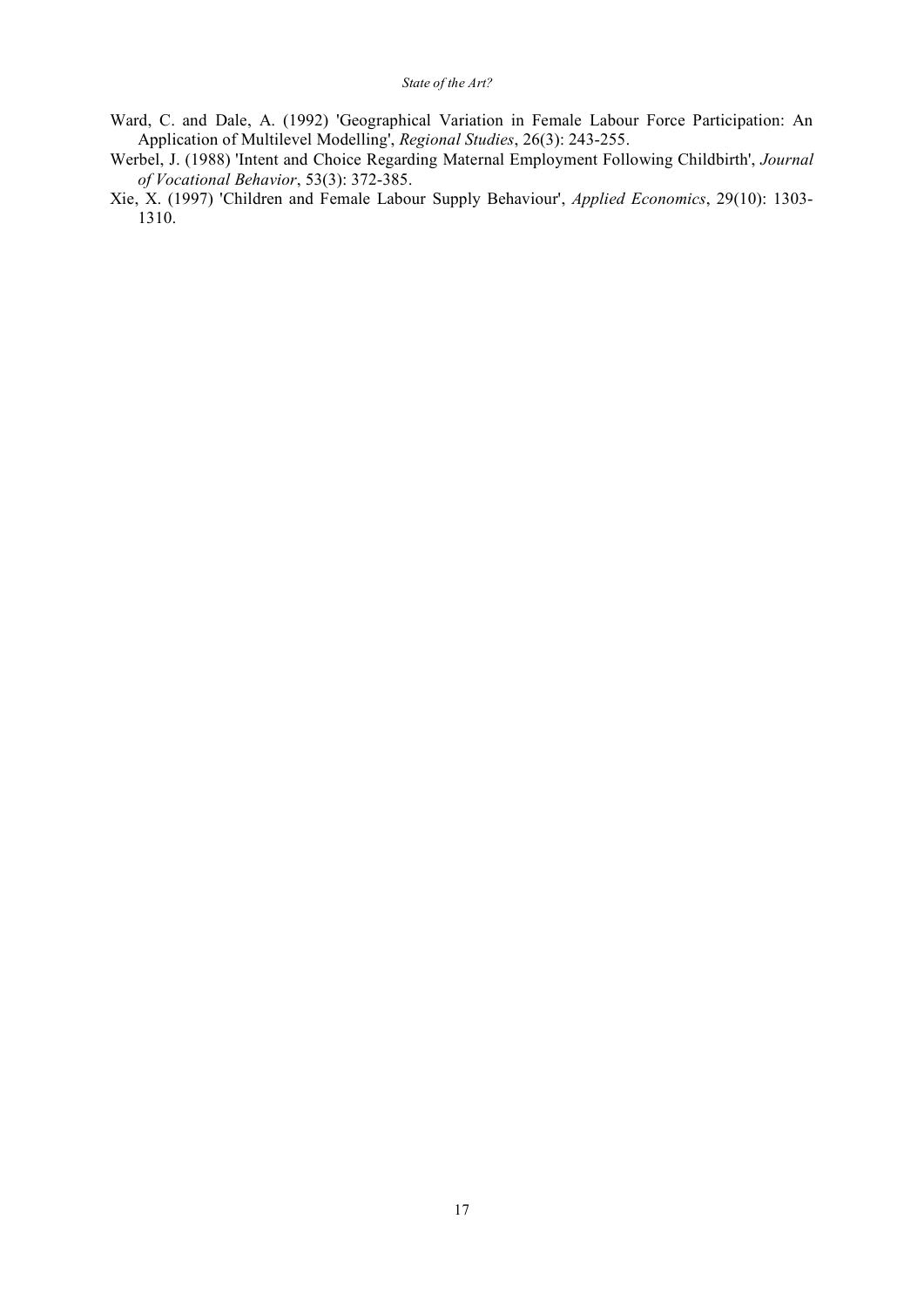- Ward, C. and Dale, A. (1992) 'Geographical Variation in Female Labour Force Participation: An Application of Multilevel Modelling', *Regional Studies*, 26(3): 243-255.
- Werbel, J. (1988) 'Intent and Choice Regarding Maternal Employment Following Childbirth', *Journal of Vocational Behavior*, 53(3): 372-385.
- Xie, X. (1997) 'Children and Female Labour Supply Behaviour', *Applied Economics*, 29(10): 1303- 1310.